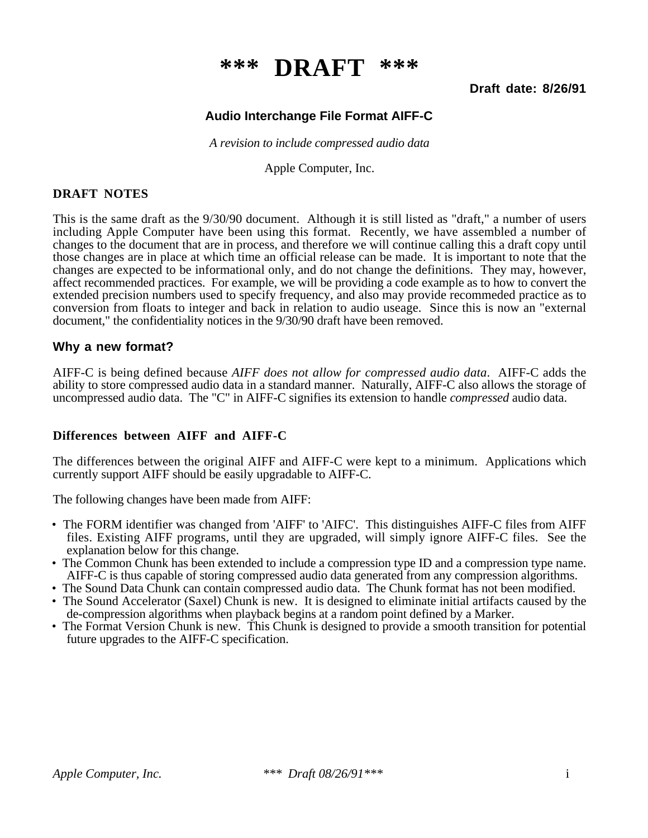# **\*\*\* DRAFT \*\*\***

#### **Draft date: 8/26/91**

# **Audio Interchange File Format AIFF-C**

*A revision to include compressed audio data*

Apple Computer, Inc.

#### **DRAFT NOTES**

This is the same draft as the 9/30/90 document. Although it is still listed as "draft," a number of users including Apple Computer have been using this format. Recently, we have assembled a number of changes to the document that are in process, and therefore we will continue calling this a draft copy until those changes are in place at which time an official release can be made. It is important to note that the changes are expected to be informational only, and do not change the definitions. They may, however, affect recommended practices. For example, we will be providing a code example as to how to convert the extended precision numbers used to specify frequency, and also may provide recommeded practice as to conversion from floats to integer and back in relation to audio useage. Since this is now an "external document," the confidentiality notices in the 9/30/90 draft have been removed.

#### **Why a new format?**

AIFF-C is being defined because *AIFF does not allow for compressed audio data*. AIFF-C adds the ability to store compressed audio data in a standard manner. Naturally, AIFF-C also allows the storage of uncompressed audio data. The "C" in AIFF-C signifies its extension to handle *compressed* audio data.

#### **Differences between AIFF and AIFF-C**

The differences between the original AIFF and AIFF-C were kept to a minimum. Applications which currently support AIFF should be easily upgradable to AIFF-C.

The following changes have been made from AIFF:

- The FORM identifier was changed from 'AIFF' to 'AIFC'. This distinguishes AIFF-C files from AIFF files. Existing AIFF programs, until they are upgraded, will simply ignore AIFF-C files. See the explanation below for this change.
- The Common Chunk has been extended to include a compression type ID and a compression type name. AIFF-C is thus capable of storing compressed audio data generated from any compression algorithms.
- The Sound Data Chunk can contain compressed audio data. The Chunk format has not been modified.
- The Sound Accelerator (Saxel) Chunk is new. It is designed to eliminate initial artifacts caused by the de-compression algorithms when playback begins at a random point defined by a Marker.
- The Format Version Chunk is new. This Chunk is designed to provide a smooth transition for potential future upgrades to the AIFF-C specification.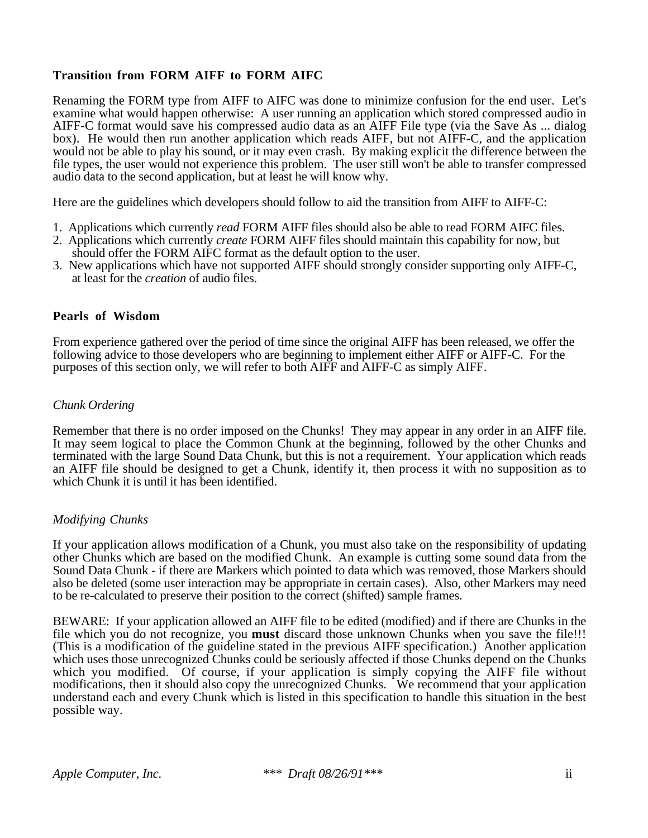## **Transition from FORM AIFF to FORM AIFC**

Renaming the FORM type from AIFF to AIFC was done to minimize confusion for the end user. Let's examine what would happen otherwise: A user running an application which stored compressed audio in AIFF-C format would save his compressed audio data as an AIFF File type (via the Save As ... dialog box). He would then run another application which reads AIFF, but not AIFF-C, and the application would not be able to play his sound, or it may even crash. By making explicit the difference between the file types, the user would not experience this problem. The user still won't be able to transfer compressed audio data to the second application, but at least he will know why.

Here are the guidelines which developers should follow to aid the transition from AIFF to AIFF-C:

- 1. Applications which currently *read* FORM AIFF files should also be able to read FORM AIFC files.
- 2. Applications which currently *create* FORM AIFF files should maintain this capability for now, but should offer the FORM AIFC format as the default option to the user.
- 3. New applications which have not supported AIFF should strongly consider supporting only AIFF-C, at least for the *creation* of audio files.

#### **Pearls of Wisdom**

From experience gathered over the period of time since the original AIFF has been released, we offer the following advice to those developers who are beginning to implement either AIFF or AIFF-C. For the purposes of this section only, we will refer to both AIFF and AIFF-C as simply AIFF.

#### *Chunk Ordering*

Remember that there is no order imposed on the Chunks! They may appear in any order in an AIFF file. It may seem logical to place the Common Chunk at the beginning, followed by the other Chunks and terminated with the large Sound Data Chunk, but this is not a requirement. Your application which reads an AIFF file should be designed to get a Chunk, identify it, then process it with no supposition as to which Chunk it is until it has been identified.

#### *Modifying Chunks*

If your application allows modification of a Chunk, you must also take on the responsibility of updating other Chunks which are based on the modified Chunk. An example is cutting some sound data from the Sound Data Chunk - if there are Markers which pointed to data which was removed, those Markers should also be deleted (some user interaction may be appropriate in certain cases). Also, other Markers may need to be re-calculated to preserve their position to the correct (shifted) sample frames.

BEWARE: If your application allowed an AIFF file to be edited (modified) and if there are Chunks in the file which you do not recognize, you **must** discard those unknown Chunks when you save the file!!! (This is a modification of the guideline stated in the previous AIFF specification.) Another application which uses those unrecognized Chunks could be seriously affected if those Chunks depend on the Chunks which you modified. Of course, if your application is simply copying the AIFF file without modifications, then it should also copy the unrecognized Chunks. We recommend that your application understand each and every Chunk which is listed in this specification to handle this situation in the best possible way.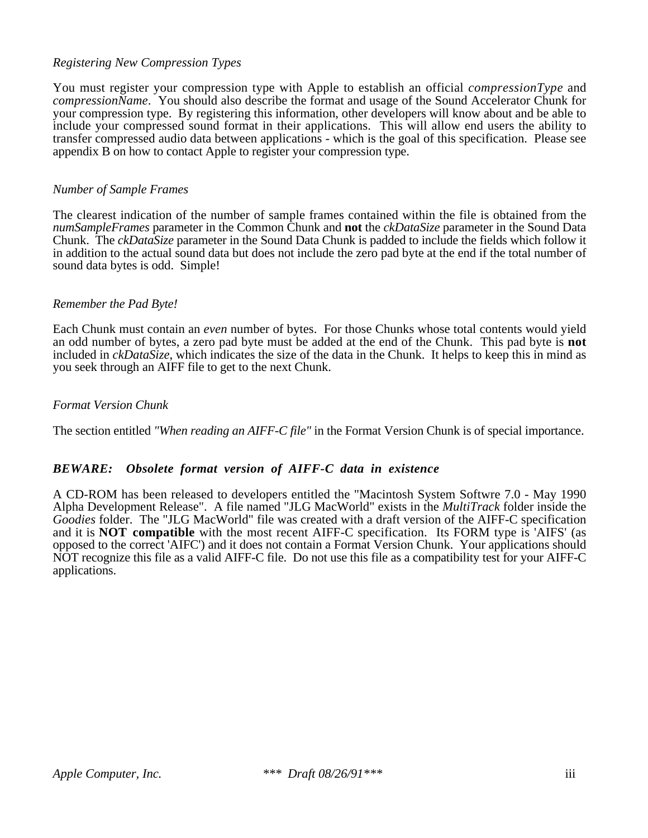#### *Registering New Compression Types*

You must register your compression type with Apple to establish an official *compressionType* and *compressionName*. You should also describe the format and usage of the Sound Accelerator Chunk for your compression type. By registering this information, other developers will know about and be able to include your compressed sound format in their applications. This will allow end users the ability to transfer compressed audio data between applications - which is the goal of this specification. Please see appendix B on how to contact Apple to register your compression type.

#### *Number of Sample Frames*

The clearest indication of the number of sample frames contained within the file is obtained from the *numSampleFrames* parameter in the Common Chunk and **not** the *ckDataSize* parameter in the Sound Data Chunk. The *ckDataSize* parameter in the Sound Data Chunk is padded to include the fields which follow it in addition to the actual sound data but does not include the zero pad byte at the end if the total number of sound data bytes is odd. Simple!

#### *Remember the Pad Byte!*

Each Chunk must contain an *even* number of bytes. For those Chunks whose total contents would yield an odd number of bytes, a zero pad byte must be added at the end of the Chunk. This pad byte is **not** included in *ckDataSize*, which indicates the size of the data in the Chunk. It helps to keep this in mind as you seek through an AIFF file to get to the next Chunk.

#### *Format Version Chunk*

The section entitled *"When reading an AIFF-C file"* in the Format Version Chunk is of special importance.

#### *BEWARE: Obsolete format version of AIFF-C data in existence*

A CD-ROM has been released to developers entitled the "Macintosh System Softwre 7.0 - May 1990 Alpha Development Release". A file named "JLG MacWorld" exists in the *MultiTrack* folder inside the *Goodies* folder. The "JLG MacWorld" file was created with a draft version of the AIFF-C specification and it is **NOT compatible** with the most recent AIFF-C specification. Its FORM type is 'AIFS' (as opposed to the correct 'AIFC') and it does not contain a Format Version Chunk. Your applications should NOT recognize this file as a valid AIFF-C file. Do not use this file as a compatibility test for your AIFF-C applications.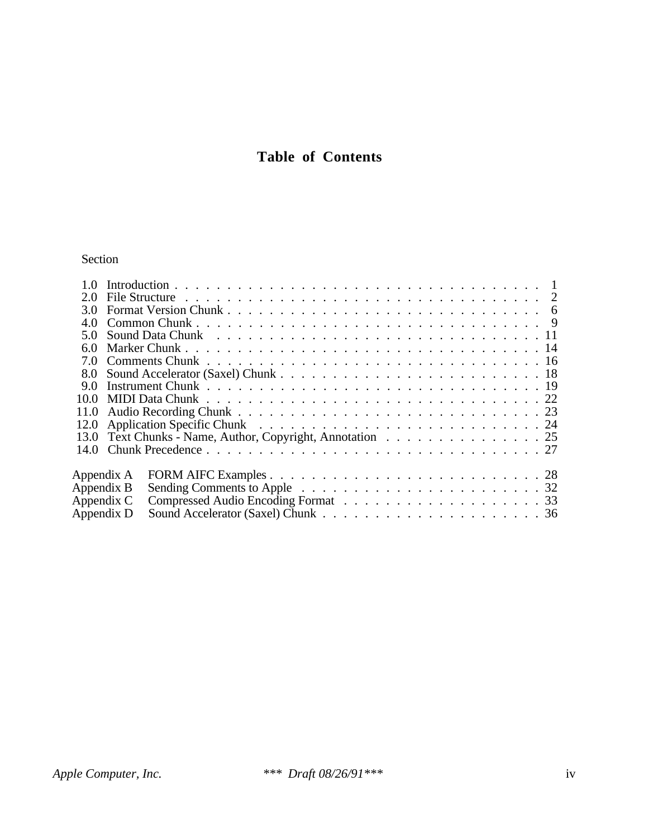# **Table of Contents**

# Section

| 5 Q  |            |                                                           |  |  |  |
|------|------------|-----------------------------------------------------------|--|--|--|
| 60   |            |                                                           |  |  |  |
| 7.0  |            |                                                           |  |  |  |
| 8.0  |            |                                                           |  |  |  |
| 90   |            |                                                           |  |  |  |
| 10.0 |            |                                                           |  |  |  |
| 11.0 |            |                                                           |  |  |  |
| 12.0 |            |                                                           |  |  |  |
|      |            | 13.0 Text Chunks - Name, Author, Copyright, Annotation 25 |  |  |  |
|      |            |                                                           |  |  |  |
|      | Appendix A |                                                           |  |  |  |
|      | Appendix B |                                                           |  |  |  |
|      | Appendix C |                                                           |  |  |  |
|      | Appendix D |                                                           |  |  |  |
|      |            |                                                           |  |  |  |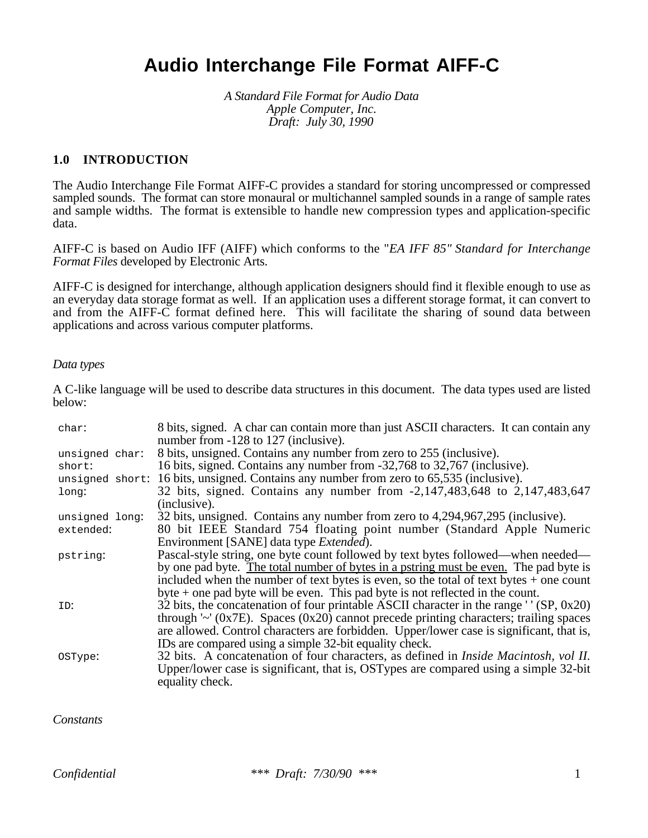# **Audio Interchange File Format AIFF-C**

*A Standard File Format for Audio Data Apple Computer, Inc. Draft: July 30, 1990*

#### **1.0 INTRODUCTION**

The Audio Interchange File Format AIFF-C provides a standard for storing uncompressed or compressed sampled sounds. The format can store monaural or multichannel sampled sounds in a range of sample rates and sample widths. The format is extensible to handle new compression types and application-specific data.

AIFF-C is based on Audio IFF (AIFF) which conforms to the "*EA IFF 85" Standard for Interchange Format Files* developed by Electronic Arts.

AIFF-C is designed for interchange, although application designers should find it flexible enough to use as an everyday data storage format as well. If an application uses a different storage format, it can convert to and from the AIFF-C format defined here. This will facilitate the sharing of sound data between applications and across various computer platforms.

#### *Data types*

A C-like language will be used to describe data structures in this document. The data types used are listed below:

| char:                    | 8 bits, signed. A char can contain more than just ASCII characters. It can contain any<br>number from -128 to 127 (inclusive).                  |
|--------------------------|-------------------------------------------------------------------------------------------------------------------------------------------------|
| unsigned char:<br>short: | 8 bits, unsigned. Contains any number from zero to 255 (inclusive).<br>16 bits, signed. Contains any number from -32,768 to 32,767 (inclusive). |
|                          | unsigned short: 16 bits, unsigned. Contains any number from zero to 65,535 (inclusive).                                                         |
| long:                    | 32 bits, signed. Contains any number from -2,147,483,648 to 2,147,483,647                                                                       |
|                          | (inclusive).                                                                                                                                    |
| unsigned long:           | 32 bits, unsigned. Contains any number from zero to 4,294,967,295 (inclusive).                                                                  |
| extended:                | 80 bit IEEE Standard 754 floating point number (Standard Apple Numeric                                                                          |
|                          | Environment [SANE] data type <i>Extended</i> ).                                                                                                 |
| pstring:                 | Pascal-style string, one byte count followed by text bytes followed—when needed—                                                                |
|                          | by one pad byte. The total number of bytes in a pstring must be even. The pad byte is                                                           |
|                          | included when the number of text bytes is even, so the total of text bytes $+$ one count                                                        |
|                          | byte $+$ one pad byte will be even. This pad byte is not reflected in the count.                                                                |
| ID:                      | 32 bits, the concatenation of four printable ASCII character in the range $'$ (SP, 0x20)                                                        |
|                          | through ' $\sim$ ' (0x7E). Spaces (0x20) cannot precede printing characters; trailing spaces                                                    |
|                          | are allowed. Control characters are forbidden. Upper/lower case is significant, that is,                                                        |
|                          | IDs are compared using a simple 32-bit equality check.                                                                                          |
| OSType:                  | 32 bits. A concatenation of four characters, as defined in Inside Macintosh, vol II.                                                            |
|                          | Upper/lower case is significant, that is, OSTypes are compared using a simple 32-bit<br>equality check.                                         |

#### *Constants*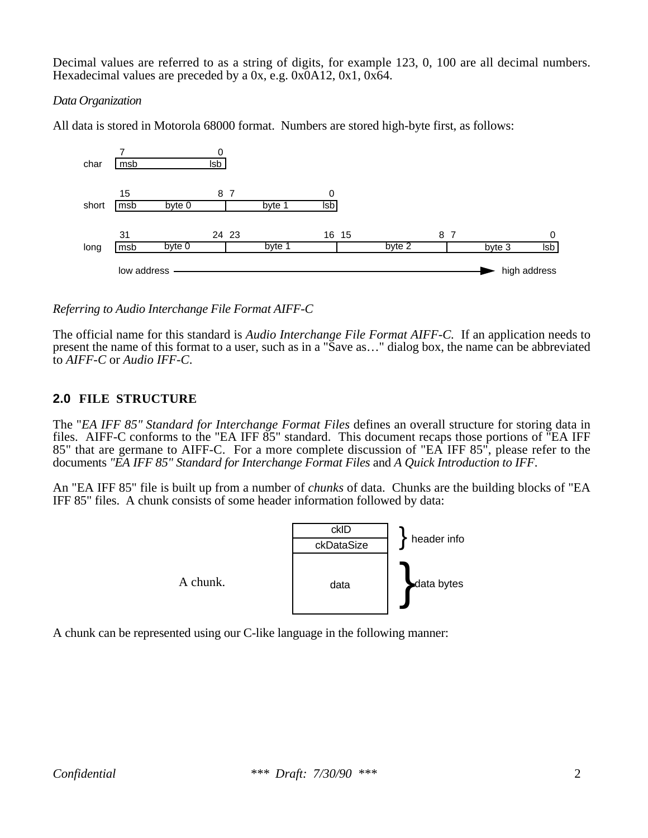Decimal values are referred to as a string of digits, for example 123, 0, 100 are all decimal numbers. Hexadecimal values are preceded by a 0x, e.g. 0x0A12, 0x1, 0x64.

### *Data Organization*

All data is stored in Motorola 68000 format. Numbers are stored high-byte first, as follows:



*Referring to Audio Interchange File Format AIFF-C*

The official name for this standard is *Audio Interchange File Format AIFF-C.* If an application needs to present the name of this format to a user, such as in a "Save as…" dialog box, the name can be abbreviated to *AIFF-C* or *Audio IFF-C*.

# **2.0 FILE STRUCTURE**

The "*EA IFF 85" Standard for Interchange Format Files* defines an overall structure for storing data in files. AIFF-C conforms to the "EA IFF 85" standard. This document recaps those portions of "EA IFF 85" that are germane to AIFF-C. For a more complete discussion of "EA IFF 85", please refer to the documents *"EA IFF 85" Standard for Interchange Format Files* and *A Quick Introduction to IFF*.

An "EA IFF 85" file is built up from a number of *chunks* of data. Chunks are the building blocks of "EA IFF 85" files. A chunk consists of some header information followed by data:



A chunk can be represented using our C-like language in the following manner: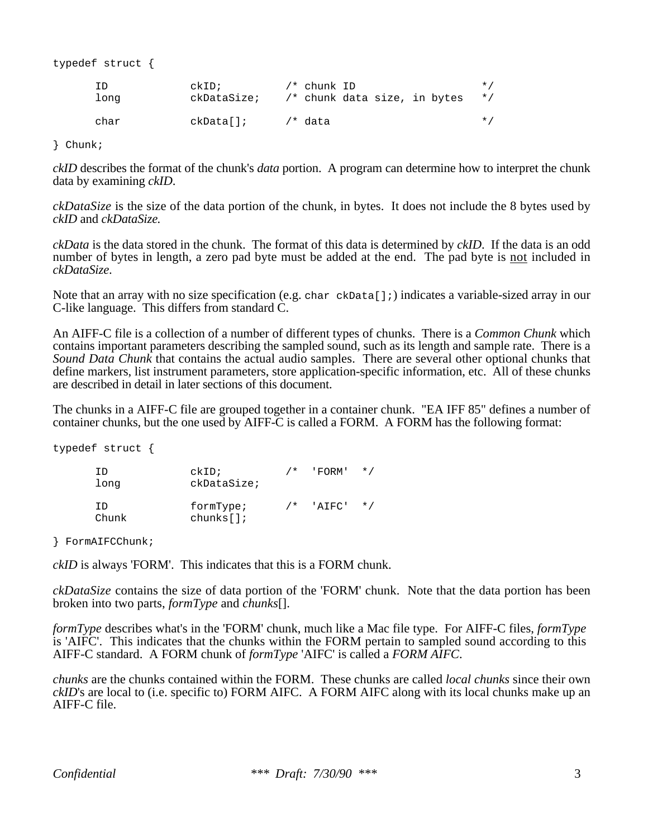typedef struct {

| ΙD   | ckID;       | /* chunk ID                  | $\star$ / |
|------|-------------|------------------------------|-----------|
| long | ckDataSize; | /* chunk data size, in bytes | $\star$ / |
| char | ckData[];   | /* data                      | $\star$ / |

} Chunk;

*ckID* describes the format of the chunk's *data* portion. A program can determine how to interpret the chunk data by examining *ckID*.

*ckDataSize* is the size of the data portion of the chunk, in bytes. It does not include the 8 bytes used by *ckID* and *ckDataSize.*

*ckData* is the data stored in the chunk. The format of this data is determined by *ckID*. If the data is an odd number of bytes in length, a zero pad byte must be added at the end. The pad byte is not included in *ckDataSize*.

Note that an array with no size specification (e.g. char ckData[];) indicates a variable-sized array in our C-like language. This differs from standard C.

An AIFF-C file is a collection of a number of different types of chunks. There is a *Common Chunk* which contains important parameters describing the sampled sound, such as its length and sample rate. There is a *Sound Data Chunk* that contains the actual audio samples. There are several other optional chunks that define markers, list instrument parameters, store application-specific information, etc. All of these chunks are described in detail in later sections of this document.

The chunks in a AIFF-C file are grouped together in a container chunk. "EA IFF 85" defines a number of container chunks, but the one used by AIFF-C is called a FORM. A FORM has the following format:

typedef struct {

| TD<br>long   | ckID<br>ckDataSize;   | $/$ * | 'FORM' | $\star$ / |
|--------------|-----------------------|-------|--------|-----------|
| TD.<br>Chunk | formType;<br>chunks[] | $/$ * | 'ATFC' | $\star$ / |

} FormAIFCChunk;

*ckID* is always 'FORM'. This indicates that this is a FORM chunk.

*ckDataSize* contains the size of data portion of the 'FORM' chunk. Note that the data portion has been broken into two parts, *formType* and *chunks*[].

*formType* describes what's in the 'FORM' chunk, much like a Mac file type. For AIFF-C files, *formType* is 'AIFC'. This indicates that the chunks within the FORM pertain to sampled sound according to this AIFF-C standard. A FORM chunk of *formType* 'AIFC' is called a *FORM AIFC*.

*chunks* are the chunks contained within the FORM. These chunks are called *local chunks* since their own *ckID*'s are local to (i.e. specific to) FORM AIFC. A FORM AIFC along with its local chunks make up an AIFF-C file.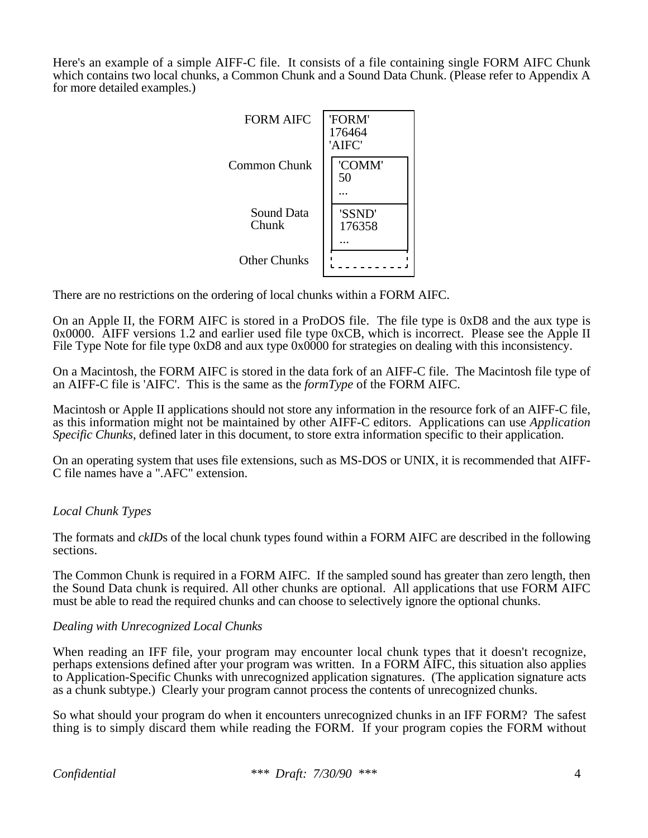Here's an example of a simple AIFF-C file. It consists of a file containing single FORM AIFC Chunk which contains two local chunks, a Common Chunk and a Sound Data Chunk. (Please refer to Appendix A for more detailed examples.)



There are no restrictions on the ordering of local chunks within a FORM AIFC.

On an Apple II, the FORM AIFC is stored in a ProDOS file. The file type is 0xD8 and the aux type is 0x0000. AIFF versions 1.2 and earlier used file type 0xCB, which is incorrect. Please see the Apple II File Type Note for file type 0xD8 and aux type 0x0000 for strategies on dealing with this inconsistency.

On a Macintosh, the FORM AIFC is stored in the data fork of an AIFF-C file. The Macintosh file type of an AIFF-C file is 'AIFC'. This is the same as the *formType* of the FORM AIFC.

Macintosh or Apple II applications should not store any information in the resource fork of an AIFF-C file, as this information might not be maintained by other AIFF-C editors. Applications can use *Application Specific Chunks*, defined later in this document, to store extra information specific to their application.

On an operating system that uses file extensions, such as MS-DOS or UNIX, it is recommended that AIFF-C file names have a ".AFC" extension.

## *Local Chunk Types*

The formats and *ckID*s of the local chunk types found within a FORM AIFC are described in the following sections.

The Common Chunk is required in a FORM AIFC. If the sampled sound has greater than zero length, then the Sound Data chunk is required. All other chunks are optional. All applications that use FORM AIFC must be able to read the required chunks and can choose to selectively ignore the optional chunks.

#### *Dealing with Unrecognized Local Chunks*

When reading an IFF file, your program may encounter local chunk types that it doesn't recognize, perhaps extensions defined after your program was written. In a FORM AIFC, this situation also applies to Application-Specific Chunks with unrecognized application signatures. (The application signature acts as a chunk subtype.) Clearly your program cannot process the contents of unrecognized chunks.

So what should your program do when it encounters unrecognized chunks in an IFF FORM? The safest thing is to simply discard them while reading the FORM. If your program copies the FORM without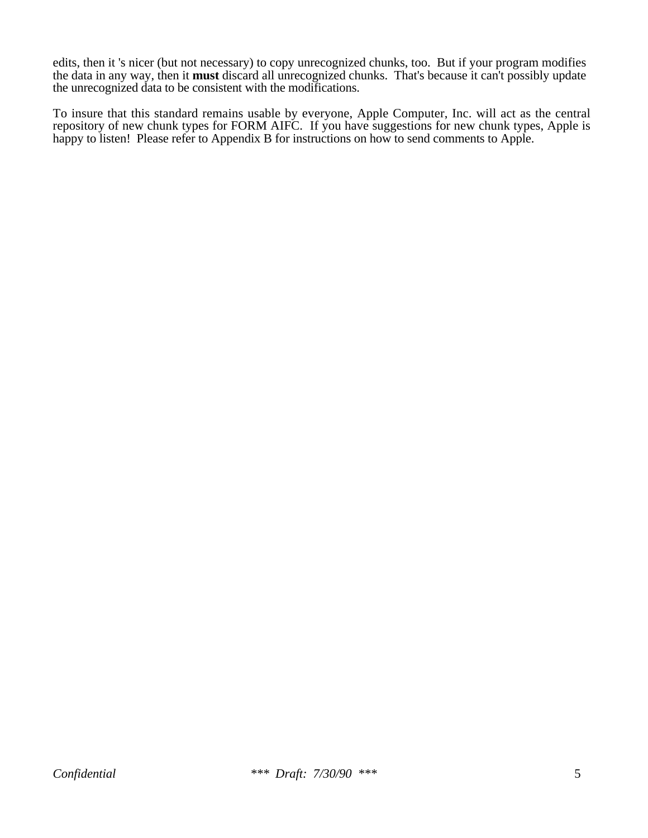edits, then it 's nicer (but not necessary) to copy unrecognized chunks, too. But if your program modifies the data in any way, then it **must** discard all unrecognized chunks. That's because it can't possibly update the unrecognized data to be consistent with the modifications.

To insure that this standard remains usable by everyone, Apple Computer, Inc. will act as the central repository of new chunk types for FORM AIFC. If you have suggestions for new chunk types, Apple is happy to listen! Please refer to Appendix B for instructions on how to send comments to Apple.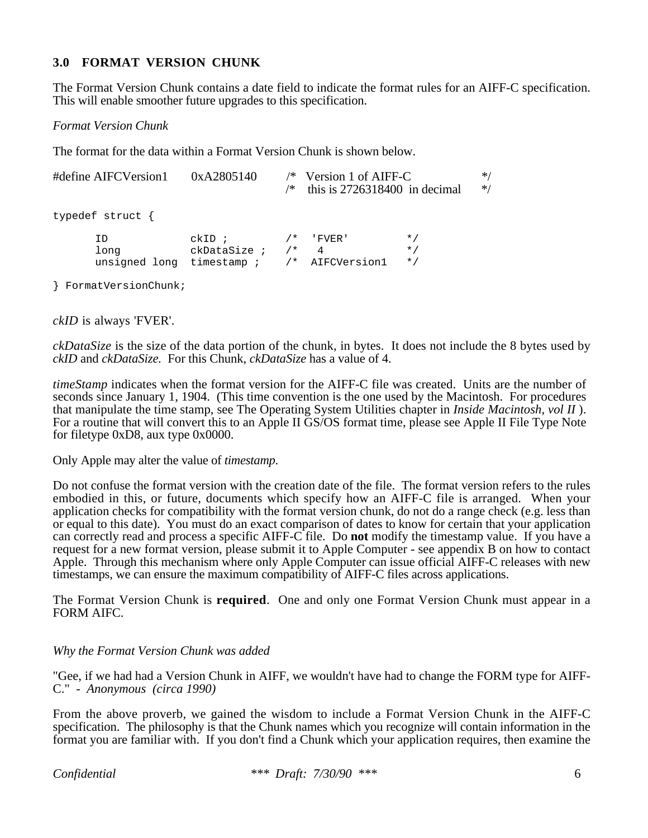## **3.0 FORMAT VERSION CHUNK**

The Format Version Chunk contains a date field to indicate the format rules for an AIFF-C specification. This will enable smoother future upgrades to this specification.

*Format Version Chunk*

The format for the data within a Format Version Chunk is shown below.

| #define AIFCVersion1 0xA2805140 |                  | /*                                                                           |  | $/*$ Version 1 of AIFF-C<br>this is $2726318400$ in decimal |                                     | $*$ /<br>$*$ / |
|---------------------------------|------------------|------------------------------------------------------------------------------|--|-------------------------------------------------------------|-------------------------------------|----------------|
|                                 | typedef struct { |                                                                              |  |                                                             |                                     |                |
|                                 | TD.<br>long      | $ckID$ ;<br>$ckDatabase: 7*$<br>unsigned long timestamp $/$ $/$ AIFCVersion1 |  | $\overline{4}$                                              | $\star$ /<br>$\star$ /<br>$\star$ / |                |

} FormatVersionChunk;

*ckID* is always 'FVER'.

*ckDataSize* is the size of the data portion of the chunk, in bytes. It does not include the 8 bytes used by *ckID* and *ckDataSize.* For this Chunk, *ckDataSize* has a value of 4.

*timeStamp* indicates when the format version for the AIFF-C file was created. Units are the number of seconds since January 1, 1904. (This time convention is the one used by the Macintosh. For procedures that manipulate the time stamp, see The Operating System Utilities chapter in *Inside Macintosh, vol II* ). For a routine that will convert this to an Apple II GS/OS format time, please see Apple II File Type Note for filetype 0xD8, aux type 0x0000.

Only Apple may alter the value of *timestamp*.

Do not confuse the format version with the creation date of the file. The format version refers to the rules embodied in this, or future, documents which specify how an AIFF-C file is arranged. When your application checks for compatibility with the format version chunk, do not do a range check (e.g. less than or equal to this date). You must do an exact comparison of dates to know for certain that your application can correctly read and process a specific AIFF-C file. Do **not** modify the timestamp value. If you have a request for a new format version, please submit it to Apple Computer - see appendix B on how to contact Apple. Through this mechanism where only Apple Computer can issue official AIFF-C releases with new timestamps, we can ensure the maximum compatibility of AIFF-C files across applications.

The Format Version Chunk is **required**. One and only one Format Version Chunk must appear in a FORM AIFC.

## *Why the Format Version Chunk was added*

"Gee, if we had had a Version Chunk in AIFF, we wouldn't have had to change the FORM type for AIFF-C." - *Anonymous (circa 1990)*

From the above proverb, we gained the wisdom to include a Format Version Chunk in the AIFF-C specification. The philosophy is that the Chunk names which you recognize will contain information in the format you are familiar with. If you don't find a Chunk which your application requires, then examine the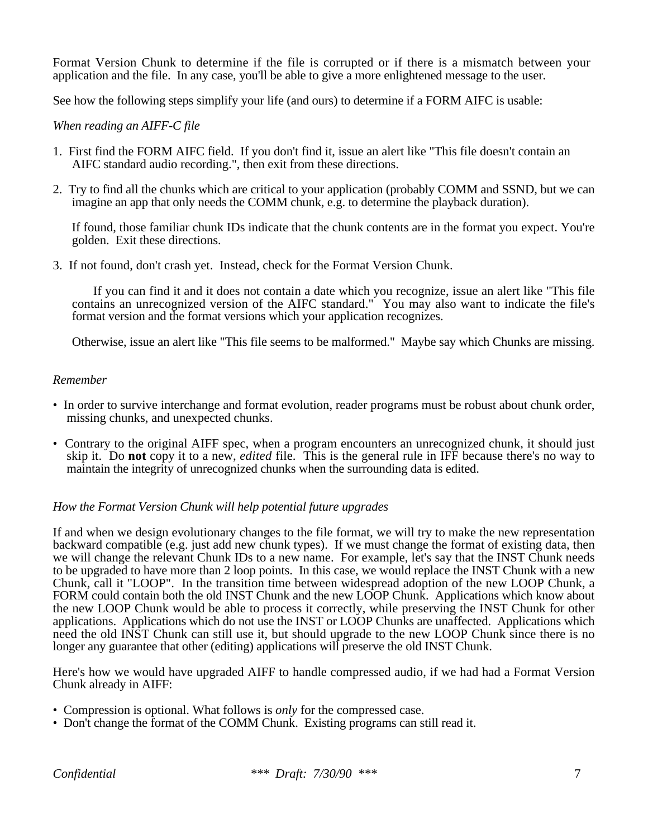Format Version Chunk to determine if the file is corrupted or if there is a mismatch between your application and the file. In any case, you'll be able to give a more enlightened message to the user.

See how the following steps simplify your life (and ours) to determine if a FORM AIFC is usable:

#### *When reading an AIFF-C file*

- 1. First find the FORM AIFC field. If you don't find it, issue an alert like "This file doesn't contain an AIFC standard audio recording.", then exit from these directions.
- 2. Try to find all the chunks which are critical to your application (probably COMM and SSND, but we can imagine an app that only needs the COMM chunk, e.g. to determine the playback duration).

 If found, those familiar chunk IDs indicate that the chunk contents are in the format you expect. You're golden. Exit these directions.

3. If not found, don't crash yet. Instead, check for the Format Version Chunk.

 If you can find it and it does not contain a date which you recognize, issue an alert like "This file contains an unrecognized version of the AIFC standard." You may also want to indicate the file's format version and the format versions which your application recognizes.

Otherwise, issue an alert like "This file seems to be malformed." Maybe say which Chunks are missing.

#### *Remember*

- In order to survive interchange and format evolution, reader programs must be robust about chunk order, missing chunks, and unexpected chunks.
- Contrary to the original AIFF spec, when a program encounters an unrecognized chunk, it should just skip it. Do **not** copy it to a new, *edited* file. This is the general rule in IFF because there's no way to maintain the integrity of unrecognized chunks when the surrounding data is edited.

#### *How the Format Version Chunk will help potential future upgrades*

If and when we design evolutionary changes to the file format, we will try to make the new representation backward compatible (e.g. just add new chunk types). If we must change the format of existing data, then we will change the relevant Chunk IDs to a new name. For example, let's say that the INST Chunk needs to be upgraded to have more than 2 loop points. In this case, we would replace the INST Chunk with a new Chunk, call it "LOOP". In the transition time between widespread adoption of the new LOOP Chunk, a FORM could contain both the old INST Chunk and the new LOOP Chunk. Applications which know about the new LOOP Chunk would be able to process it correctly, while preserving the INST Chunk for other applications. Applications which do not use the INST or LOOP Chunks are unaffected. Applications which need the old INST Chunk can still use it, but should upgrade to the new LOOP Chunk since there is no longer any guarantee that other (editing) applications will preserve the old INST Chunk.

Here's how we would have upgraded AIFF to handle compressed audio, if we had had a Format Version Chunk already in AIFF:

- Compression is optional. What follows is *only* for the compressed case.
- Don't change the format of the COMM Chunk. Existing programs can still read it.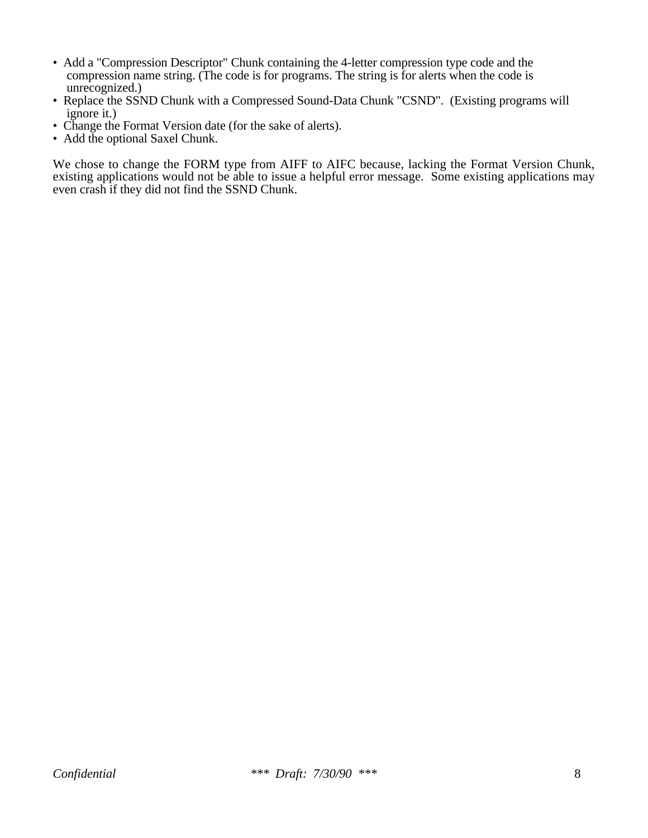- Add a "Compression Descriptor" Chunk containing the 4-letter compression type code and the compression name string. (The code is for programs. The string is for alerts when the code is unrecognized.)
- Replace the SSND Chunk with a Compressed Sound-Data Chunk "CSND". (Existing programs will ignore it.)
- Change the Format Version date (for the sake of alerts).
- Add the optional Saxel Chunk.

We chose to change the FORM type from AIFF to AIFC because, lacking the Format Version Chunk, existing applications would not be able to issue a helpful error message. Some existing applications may even crash if they did not find the SSND Chunk.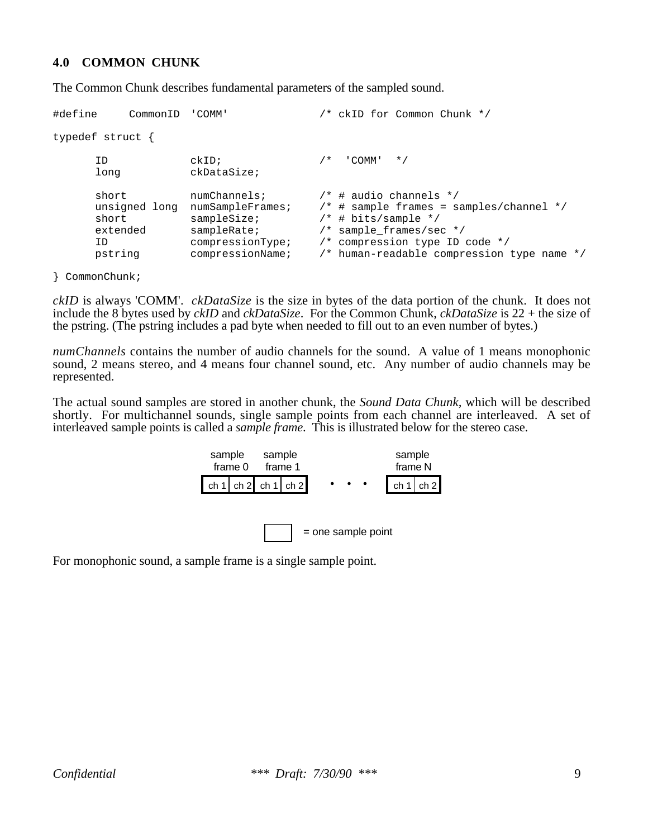#### **4.0 COMMON CHUNK**

The Common Chunk describes fundamental parameters of the sampled sound.

```
#define CommonID 'COMM' /* ckID for Common Chunk */
typedef struct {
     ID ckID; /* 'COMM' */
     long ckDataSize;
     short numChannels; /* # audio channels */<br>unsigned long numSampleFrames; /* # sample frames = sa
                                   \frac{1}{2} # sample frames = samples/channel */
     short sampleSize; /* # bits/sample */extended sampleRate; /* sample_frames/sec */
     ID compressionType; /* compression type ID code */
     pstring compressionName; /* human-readable compression type name */
```
} CommonChunk;

*ckID* is always 'COMM'. *ckDataSize* is the size in bytes of the data portion of the chunk. It does not include the 8 bytes used by *ckID* and *ckDataSize*. For the Common Chunk, *ckDataSize* is 22 + the size of the pstring. (The pstring includes a pad byte when needed to fill out to an even number of bytes.)

*numChannels* contains the number of audio channels for the sound. A value of 1 means monophonic sound, 2 means stereo, and 4 means four channel sound, etc. Any number of audio channels may be represented.

The actual sound samples are stored in another chunk, the *Sound Data Chunk,* which will be described shortly. For multichannel sounds, single sample points from each channel are interleaved. A set of interleaved sample points is called a *sample frame*. This is illustrated below for the stereo case.

| sample<br>frame 0 |  | sample | frame 1             |  |                     |  | sample<br>frame N |  |
|-------------------|--|--------|---------------------|--|---------------------|--|-------------------|--|
|                   |  |        | ch 1 ch 2 ch 1 ch 2 |  | $\bullet$ $\bullet$ |  | ch 1   ch 2       |  |
|                   |  |        |                     |  |                     |  |                   |  |

= one sample point

For monophonic sound, a sample frame is a single sample point.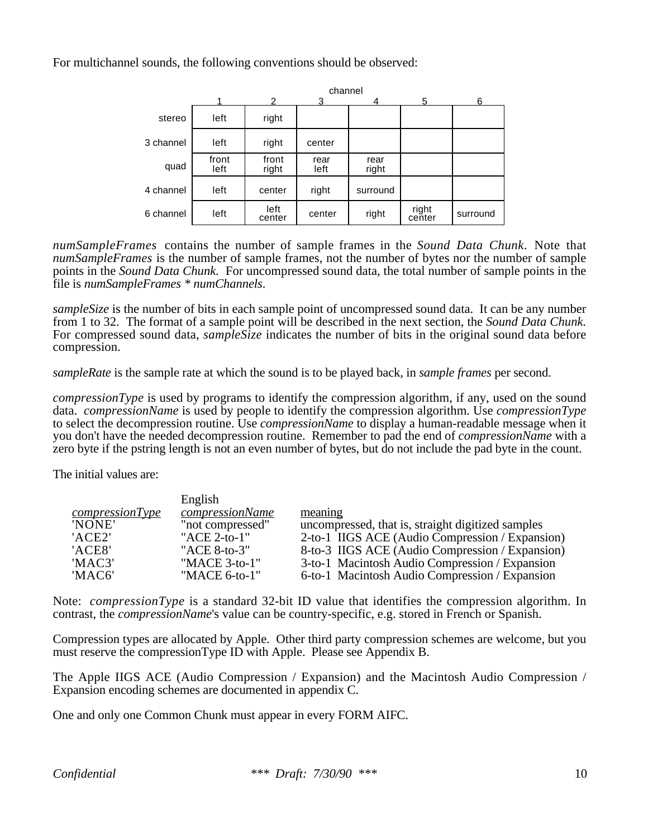For multichannel sounds, the following conventions should be observed:

|           |               | channel        |              |               |                 |          |  |  |  |  |  |
|-----------|---------------|----------------|--------------|---------------|-----------------|----------|--|--|--|--|--|
|           |               |                |              |               | 5               | 6        |  |  |  |  |  |
| stereo    | left          | right          |              |               |                 |          |  |  |  |  |  |
| 3 channel | left          | right          | center       |               |                 |          |  |  |  |  |  |
| quad      | front<br>left | front<br>right | rear<br>left | rear<br>right |                 |          |  |  |  |  |  |
| 4 channel | left          | center         | right        | surround      |                 |          |  |  |  |  |  |
| 6 channel | left          | left<br>center | center       | right         | right<br>center | surround |  |  |  |  |  |

*numSampleFrames* contains the number of sample frames in the *Sound Data Chunk*. Note that *numSampleFrames* is the number of sample frames, not the number of bytes nor the number of sample points in the *Sound Data Chunk.* For uncompressed sound data, the total number of sample points in the file is *numSampleFrames \* numChannels*.

*sampleSize* is the number of bits in each sample point of uncompressed sound data. It can be any number from 1 to 32. The format of a sample point will be described in the next section, the *Sound Data Chunk.* For compressed sound data, *sampleSize* indicates the number of bits in the original sound data before compression.

*sampleRate* is the sample rate at which the sound is to be played back, in *sample frames* per second.

*compressionType* is used by programs to identify the compression algorithm, if any, used on the sound data. *compressionName* is used by people to identify the compression algorithm. Use *compressionType* to select the decompression routine. Use *compressionName* to display a human-readable message when it you don't have the needed decompression routine. Remember to pad the end of *compressionName* with a zero byte if the pstring length is not an even number of bytes, but do not include the pad byte in the count.

The initial values are:

|                 | English                |                                                   |
|-----------------|------------------------|---------------------------------------------------|
| compressionType | <i>compressionName</i> | meaning                                           |
| 'NONE'          | "not compressed"       | uncompressed, that is, straight digitized samples |
| 'ACE2'          | "ACE 2-to-1"           | 2-to-1 IIGS ACE (Audio Compression / Expansion)   |
| 'ACE8'          | "ACE 8-to-3"           | 8-to-3 IIGS ACE (Audio Compression / Expansion)   |
| 'MAC3'          | "MACE 3-to-1"          | 3-to-1 Macintosh Audio Compression / Expansion    |
| 'MAC6'          | "MACE 6-to-1"          | 6-to-1 Macintosh Audio Compression / Expansion    |

Note: *compressionType* is a standard 32-bit ID value that identifies the compression algorithm. In contrast, the *compressionName*'s value can be country-specific, e.g. stored in French or Spanish.

Compression types are allocated by Apple. Other third party compression schemes are welcome, but you must reserve the compressionType ID with Apple. Please see Appendix B.

The Apple IIGS ACE (Audio Compression / Expansion) and the Macintosh Audio Compression / Expansion encoding schemes are documented in appendix C.

One and only one Common Chunk must appear in every FORM AIFC.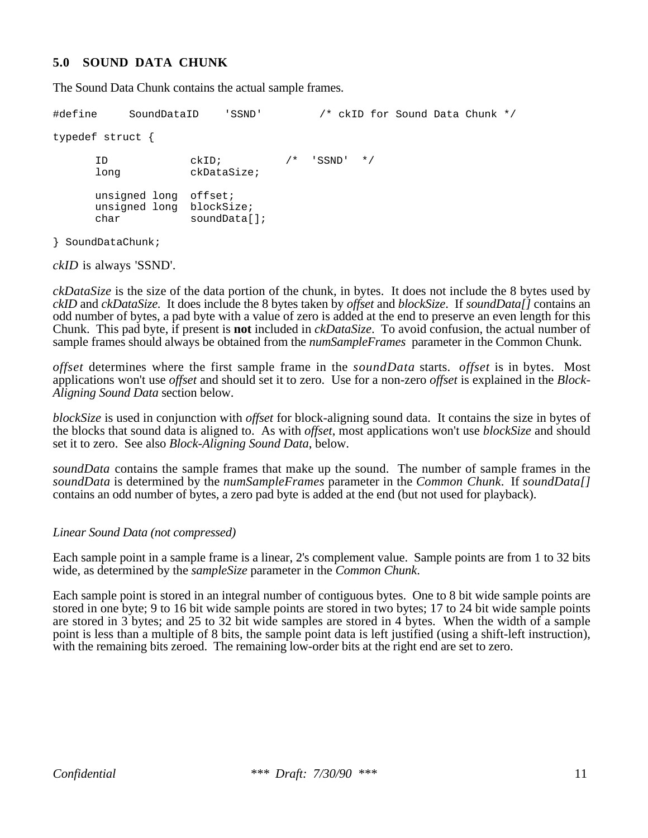### **5.0 SOUND DATA CHUNK**

The Sound Data Chunk contains the actual sample frames.

```
#define SoundDataID 'SSND' /* ckID for Sound Data Chunk */
typedef struct {
     ID ckID; /* 'SSND' */
     long ckDataSize;
     unsigned long offset;
     unsigned long blockSize;
     char soundData[];
```
} SoundDataChunk;

*ckID* is always 'SSND'.

*ckDataSize* is the size of the data portion of the chunk, in bytes. It does not include the 8 bytes used by *ckID* and *ckDataSize.* It does include the 8 bytes taken by *offset* and *blockSize*. If *soundData[]* contains an odd number of bytes, a pad byte with a value of zero is added at the end to preserve an even length for this Chunk. This pad byte, if present is **not** included in *ckDataSize*. To avoid confusion, the actual number of sample frames should always be obtained from the *numSampleFrames* parameter in the Common Chunk.

*offset* determines where the first sample frame in the *soundData* starts. *offset* is in bytes. Most applications won't use *offset* and should set it to zero. Use for a non-zero *offset* is explained in the *Block-Aligning Sound Data* section below.

*blockSize* is used in conjunction with *offset* for block-aligning sound data. It contains the size in bytes of the blocks that sound data is aligned to. As with *offset*, most applications won't use *blockSize* and should set it to zero. See also *Block-Aligning Sound Data*, below.

*soundData* contains the sample frames that make up the sound. The number of sample frames in the *soundData* is determined by the *numSampleFrames* parameter in the *Common Chunk*. If *soundData[]* contains an odd number of bytes, a zero pad byte is added at the end (but not used for playback).

#### *Linear Sound Data (not compressed)*

Each sample point in a sample frame is a linear, 2's complement value. Sample points are from 1 to 32 bits wide, as determined by the *sampleSize* parameter in the *Common Chunk*.

Each sample point is stored in an integral number of contiguous bytes. One to 8 bit wide sample points are stored in one byte; 9 to 16 bit wide sample points are stored in two bytes; 17 to 24 bit wide sample points are stored in 3 bytes; and 25 to 32 bit wide samples are stored in 4 bytes. When the width of a sample point is less than a multiple of 8 bits, the sample point data is left justified (using a shift-left instruction), with the remaining bits zeroed. The remaining low-order bits at the right end are set to zero.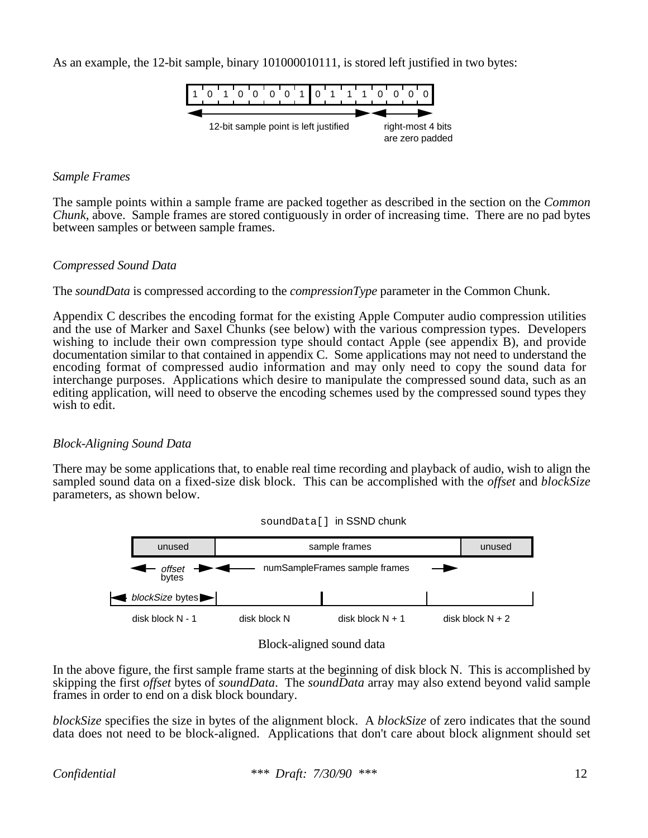As an example, the 12-bit sample, binary 101000010111, is stored left justified in two bytes:



#### *Sample Frames*

The sample points within a sample frame are packed together as described in the section on the *Common Chunk*, above. Sample frames are stored contiguously in order of increasing time. There are no pad bytes between samples or between sample frames.

#### *Compressed Sound Data*

The *soundData* is compressed according to the *compressionType* parameter in the Common Chunk.

Appendix C describes the encoding format for the existing Apple Computer audio compression utilities and the use of Marker and Saxel Chunks (see below) with the various compression types. Developers wishing to include their own compression type should contact Apple (see appendix B), and provide documentation similar to that contained in appendix C. Some applications may not need to understand the encoding format of compressed audio information and may only need to copy the sound data for interchange purposes. Applications which desire to manipulate the compressed sound data, such as an editing application, will need to observe the encoding schemes used by the compressed sound types they wish to edit.

#### *Block-Aligning Sound Data*

There may be some applications that, to enable real time recording and playback of audio, wish to align the sampled sound data on a fixed-size disk block. This can be accomplished with the *offset* and *blockSize* parameters, as shown below.







In the above figure, the first sample frame starts at the beginning of disk block N. This is accomplished by skipping the first *offset* bytes of *soundData*. The *soundData* array may also extend beyond valid sample frames in order to end on a disk block boundary.

*blockSize* specifies the size in bytes of the alignment block. A *blockSize* of zero indicates that the sound data does not need to be block-aligned. Applications that don't care about block alignment should set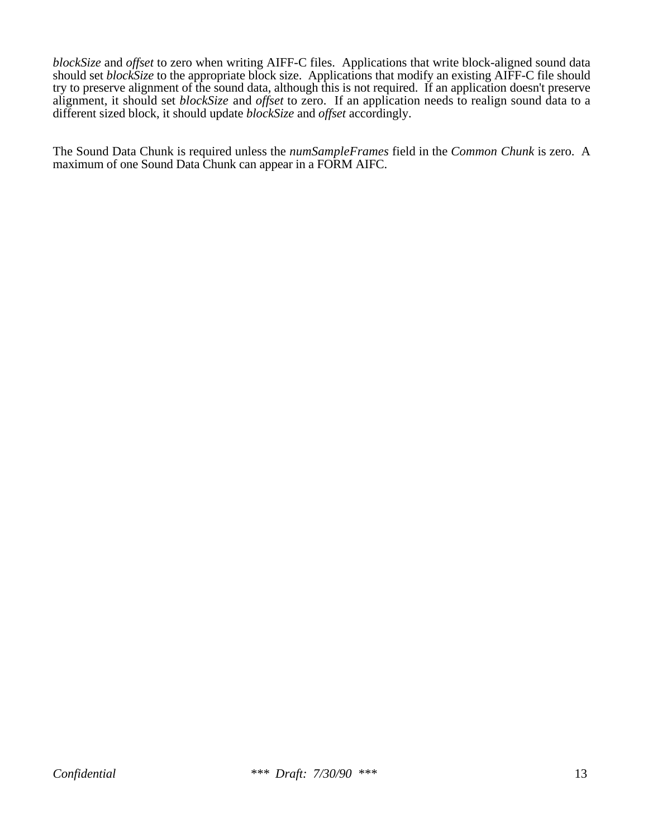*blockSize* and *offset* to zero when writing AIFF-C files. Applications that write block-aligned sound data should set *blockSize* to the appropriate block size. Applications that modify an existing AIFF-C file should try to preserve alignment of the sound data, although this is not required. If an application doesn't preserve alignment, it should set *blockSize* and *offset* to zero. If an application needs to realign sound data to a different sized block, it should update *blockSize* and *offset* accordingly.

The Sound Data Chunk is required unless the *numSampleFrames* field in the *Common Chunk* is zero. A maximum of one Sound Data Chunk can appear in a FORM AIFC.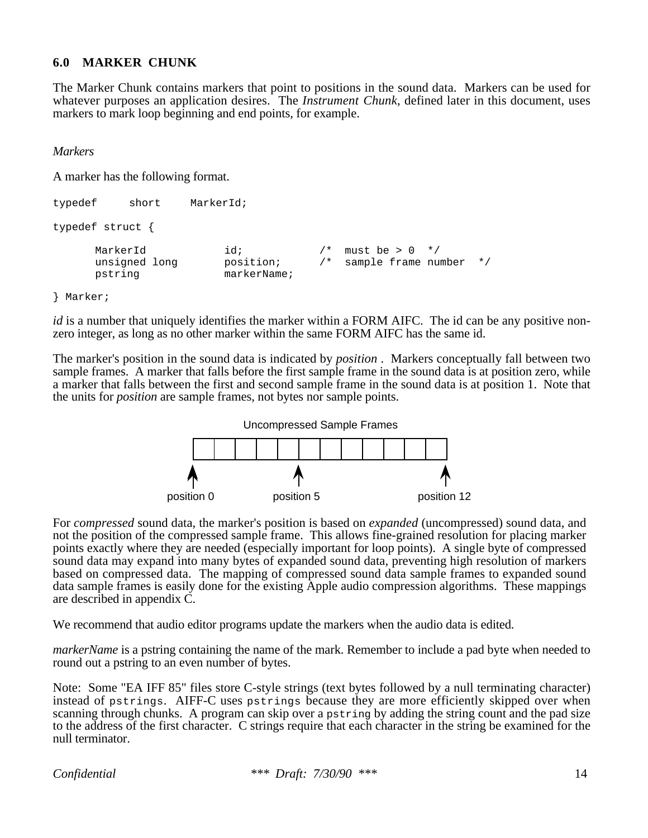#### **6.0 MARKER CHUNK**

The Marker Chunk contains markers that point to positions in the sound data. Markers can be used for whatever purposes an application desires. The *Instrument Chunk*, defined later in this document, uses markers to mark loop beginning and end points, for example.

*Markers*

A marker has the following format.

```
typedef short MarkerId;
typedef struct {
       MarkerId id; \left| \begin{array}{ccc} \end{array} \right| must be > 0 \left| \begin{array}{ccc} \end{array} \right|unsigned long position; /* sample frame number */
       pstring markerName;
```
#### } Marker;

*id* is a number that uniquely identifies the marker within a FORM AIFC. The id can be any positive nonzero integer, as long as no other marker within the same FORM AIFC has the same id.

The marker's position in the sound data is indicated by *position* . Markers conceptually fall between two sample frames. A marker that falls before the first sample frame in the sound data is at position zero, while a marker that falls between the first and second sample frame in the sound data is at position 1. Note that the units for *position* are sample frames, not bytes nor sample points.



For *compressed* sound data, the marker's position is based on *expanded* (uncompressed) sound data, and not the position of the compressed sample frame. This allows fine-grained resolution for placing marker points exactly where they are needed (especially important for loop points). A single byte of compressed sound data may expand into many bytes of expanded sound data, preventing high resolution of markers based on compressed data. The mapping of compressed sound data sample frames to expanded sound data sample frames is easily done for the existing Apple audio compression algorithms. These mappings are described in appendix C.

We recommend that audio editor programs update the markers when the audio data is edited.

*markerName* is a pstring containing the name of the mark. Remember to include a pad byte when needed to round out a pstring to an even number of bytes.

Note: Some "EA IFF 85" files store C-style strings (text bytes followed by a null terminating character) instead of pstrings. AIFF-C uses pstrings because they are more efficiently skipped over when scanning through chunks. A program can skip over a pstring by adding the string count and the pad size to the address of the first character. C strings require that each character in the string be examined for the null terminator.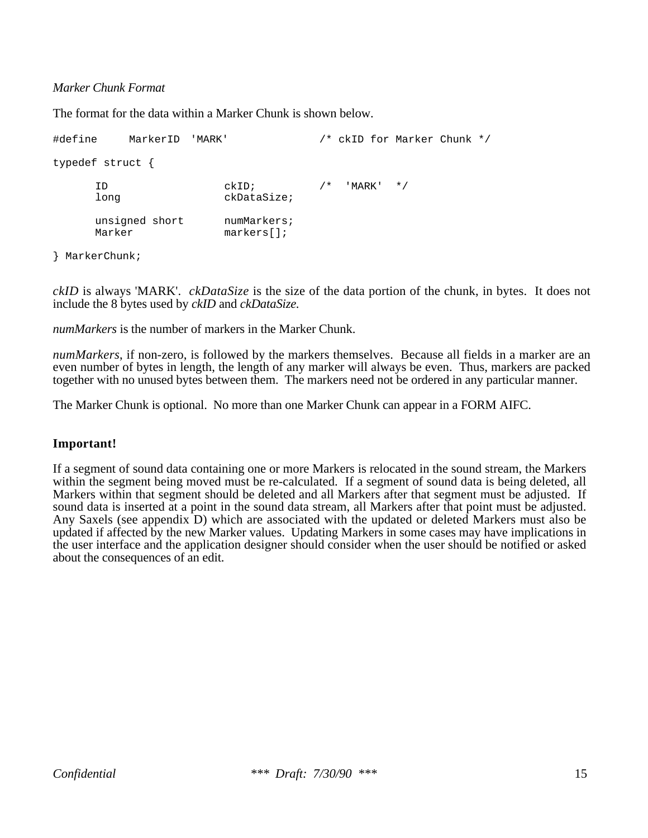#### *Marker Chunk Format*

The format for the data within a Marker Chunk is shown below.

#define MarkerID 'MARK' /\* ckID for Marker Chunk \*/ typedef struct { ID  $ckID$ ;  $/*$  'MARK'  $*/$ long ckDataSize; unsigned short numMarkers; Marker markers[];

} MarkerChunk;

*ckID* is always 'MARK'. *ckDataSize* is the size of the data portion of the chunk, in bytes. It does not include the 8 bytes used by *ckID* and *ckDataSize.*

*numMarkers* is the number of markers in the Marker Chunk.

*numMarkers*, if non-zero, is followed by the markers themselves. Because all fields in a marker are an even number of bytes in length, the length of any marker will always be even. Thus, markers are packed together with no unused bytes between them. The markers need not be ordered in any particular manner.

The Marker Chunk is optional. No more than one Marker Chunk can appear in a FORM AIFC.

#### **Important!**

If a segment of sound data containing one or more Markers is relocated in the sound stream, the Markers within the segment being moved must be re-calculated. If a segment of sound data is being deleted, all Markers within that segment should be deleted and all Markers after that segment must be adjusted. If sound data is inserted at a point in the sound data stream, all Markers after that point must be adjusted. Any Saxels (see appendix D) which are associated with the updated or deleted Markers must also be updated if affected by the new Marker values. Updating Markers in some cases may have implications in the user interface and the application designer should consider when the user should be notified or asked about the consequences of an edit.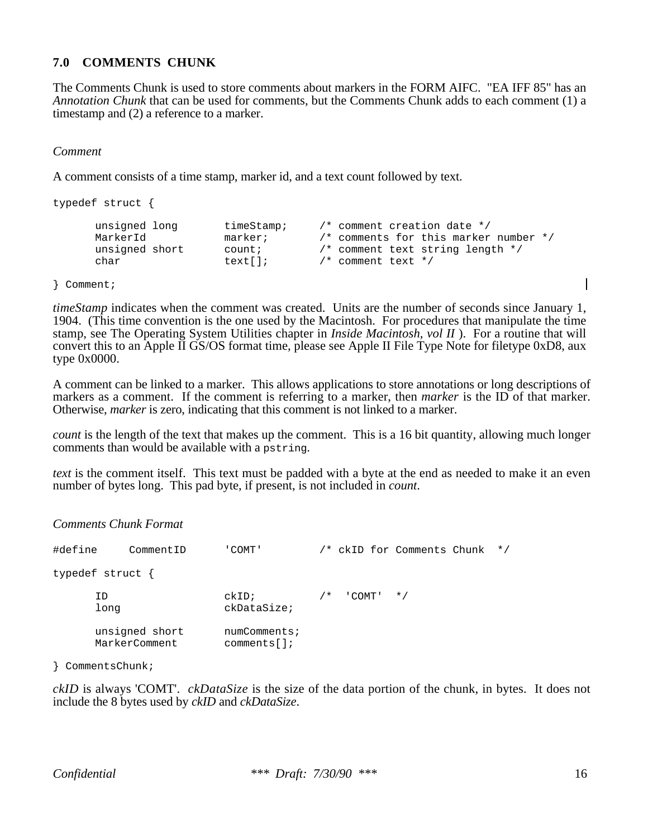## **7.0 COMMENTS CHUNK**

The Comments Chunk is used to store comments about markers in the FORM AIFC. "EA IFF 85" has an *Annotation Chunk* that can be used for comments, but the Comments Chunk adds to each comment (1) a timestamp and (2) a reference to a marker.

*Comment*

A comment consists of a time stamp, marker id, and a text count followed by text.

```
typedef struct {
       unsigned long timeStamp; /* comment creation date */
       MarkerId marker; \frac{1}{2} /* comments for this marker number */
       unsigned short count; \begin{array}{ccc} & /* & \text{comment text string length } */ \\ \text{char} & & \text{text} \end{array}char text[]; \qquad \qquad/* comment text */
```
} Comment;

*timeStamp* indicates when the comment was created. Units are the number of seconds since January 1, 1904. (This time convention is the one used by the Macintosh. For procedures that manipulate the time stamp, see The Operating System Utilities chapter in *Inside Macintosh, vol II* ). For a routine that will convert this to an Apple II GS/OS format time, please see Apple II File Type Note for filetype 0xD8, aux type 0x0000.

A comment can be linked to a marker. This allows applications to store annotations or long descriptions of markers as a comment. If the comment is referring to a marker, then *marker* is the ID of that marker. Otherwise, *marker* is zero, indicating that this comment is not linked to a marker.

*count* is the length of the text that makes up the comment. This is a 16 bit quantity, allowing much longer comments than would be available with a pstring.

*text* is the comment itself. This text must be padded with a byte at the end as needed to make it an even number of bytes long. This pad byte, if present, is not included in *count*.

*Comments Chunk Format*

| #define | CommentID                       | COMT'                      |       |                 | /* ckID for Comments Chunk | $\star$ / |
|---------|---------------------------------|----------------------------|-------|-----------------|----------------------------|-----------|
|         | typedef struct {                |                            |       |                 |                            |           |
|         | ID<br>long                      | ckID:<br>ckDataSize;       | $/$ * | $'$ COMT' $*$ / |                            |           |
|         | unsigned short<br>MarkerComment | numComments;<br>comments[] |       |                 |                            |           |

} CommentsChunk;

*ckID* is always 'COMT'. *ckDataSize* is the size of the data portion of the chunk, in bytes. It does not include the 8 bytes used by *ckID* and *ckDataSize*.

 $\mathbf l$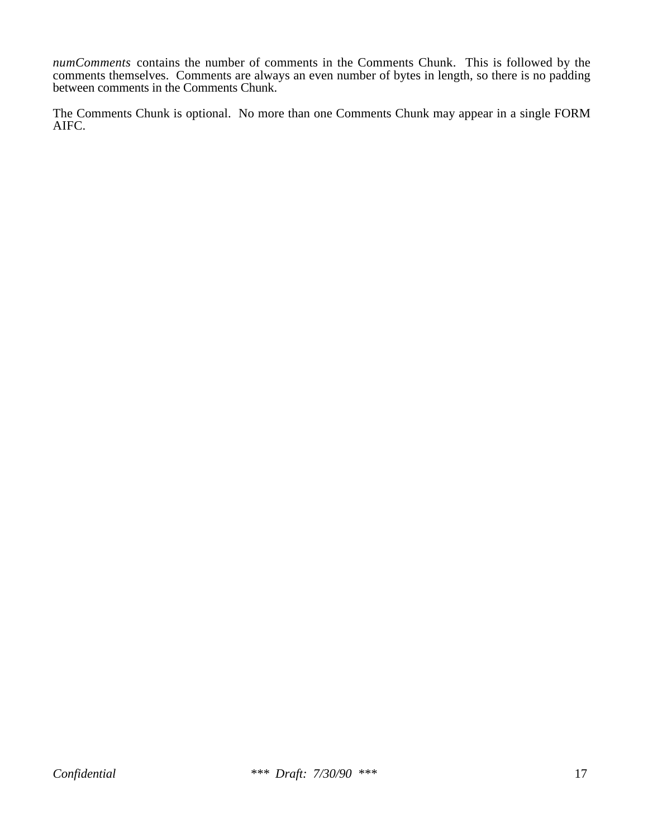*numComments* contains the number of comments in the Comments Chunk. This is followed by the comments themselves. Comments are always an even number of bytes in length, so there is no padding between comments in the Comments Chunk.

The Comments Chunk is optional. No more than one Comments Chunk may appear in a single FORM AIFC.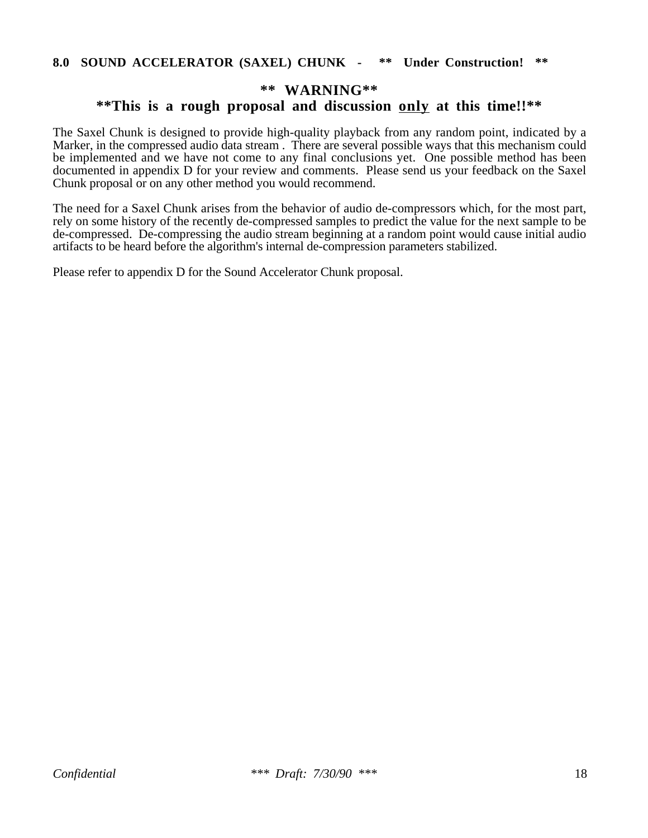#### **8.0 SOUND ACCELERATOR (SAXEL) CHUNK - \*\* Under Construction! \*\***

## **\*\* WARNING\*\***

# **\*\*This is a rough proposal and discussion only at this time!!\*\***

The Saxel Chunk is designed to provide high-quality playback from any random point, indicated by a Marker, in the compressed audio data stream . There are several possible ways that this mechanism could be implemented and we have not come to any final conclusions yet. One possible method has been documented in appendix D for your review and comments. Please send us your feedback on the Saxel Chunk proposal or on any other method you would recommend.

The need for a Saxel Chunk arises from the behavior of audio de-compressors which, for the most part, rely on some history of the recently de-compressed samples to predict the value for the next sample to be de-compressed. De-compressing the audio stream beginning at a random point would cause initial audio artifacts to be heard before the algorithm's internal de-compression parameters stabilized.

Please refer to appendix D for the Sound Accelerator Chunk proposal.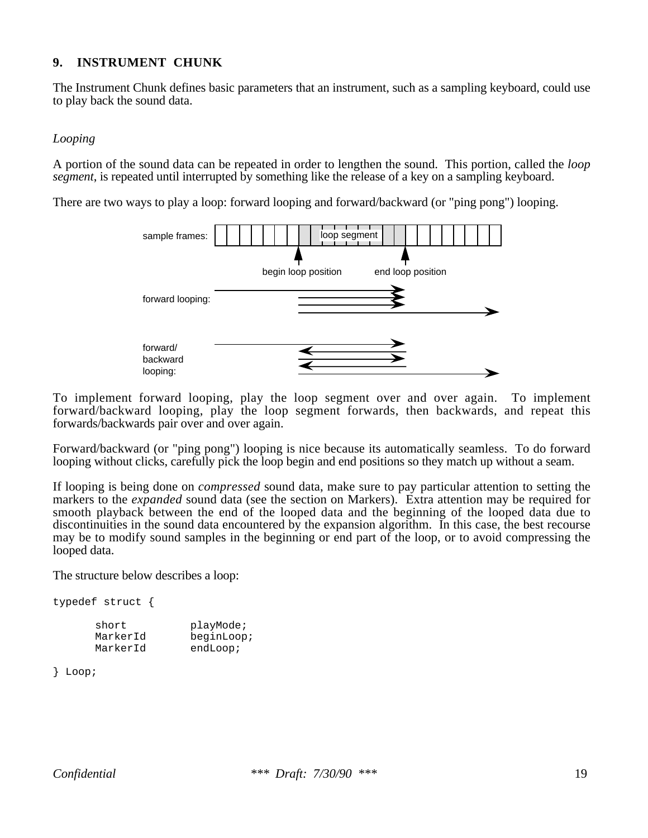## **9. INSTRUMENT CHUNK**

The Instrument Chunk defines basic parameters that an instrument, such as a sampling keyboard, could use to play back the sound data.

#### *Looping*

A portion of the sound data can be repeated in order to lengthen the sound. This portion, called the *loop segment*, is repeated until interrupted by something like the release of a key on a sampling keyboard.

There are two ways to play a loop: forward looping and forward/backward (or "ping pong") looping.



To implement forward looping, play the loop segment over and over again. To implement forward/backward looping, play the loop segment forwards, then backwards, and repeat this forwards/backwards pair over and over again.

Forward/backward (or "ping pong") looping is nice because its automatically seamless. To do forward looping without clicks, carefully pick the loop begin and end positions so they match up without a seam.

If looping is being done on *compressed* sound data, make sure to pay particular attention to setting the markers to the *expanded* sound data (see the section on Markers). Extra attention may be required for smooth playback between the end of the looped data and the beginning of the looped data due to discontinuities in the sound data encountered by the expansion algorithm. In this case, the best recourse may be to modify sound samples in the beginning or end part of the loop, or to avoid compressing the looped data.

The structure below describes a loop:

typedef struct { short playMode;<br>MarkerId beginLoop beginLoop; MarkerId endLoop;

} Loop;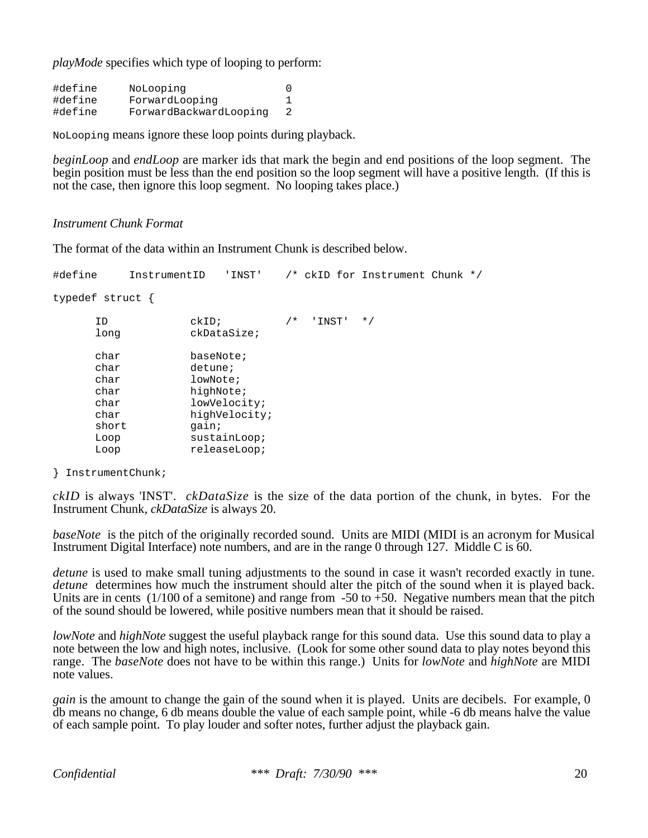*playMode* specifies which type of looping to perform:

#define NoLooping 0 #define ForwardLooping 1 #define ForwardBackwardLooping 2

NoLooping means ignore these loop points during playback.

*beginLoop* and *endLoop* are marker ids that mark the begin and end positions of the loop segment. The begin position must be less than the end position so the loop segment will have a positive length. (If this is not the case, then ignore this loop segment. No looping takes place.)

#### *Instrument Chunk Format*

The format of the data within an Instrument Chunk is described below.

#define InstrumentID 'INST' /\* ckID for Instrument Chunk \*/

typedef struct {

| ΙD<br>long | ckID<br>ckDataSize; | $/$ * | 'INST' | $\star$ / |
|------------|---------------------|-------|--------|-----------|
| char       | baseNote;           |       |        |           |
| char       | detune;             |       |        |           |
| char       | lowNote;            |       |        |           |
| char       | highNote;           |       |        |           |
| char       | lowVelocity;        |       |        |           |
| char       | highVelocity;       |       |        |           |
| short      | qain;               |       |        |           |
| Loop       | $s$ ustain $Loop$ ; |       |        |           |
| Loop       | releaseLoop;        |       |        |           |

} InstrumentChunk;

*ckID* is always 'INST'. *ckDataSize* is the size of the data portion of the chunk, in bytes. For the Instrument Chunk, *ckDataSize* is always 20.

*baseNote* is the pitch of the originally recorded sound. Units are MIDI (MIDI is an acronym for Musical Instrument Digital Interface) note numbers, and are in the range 0 through 127. Middle C is 60.

*detune* is used to make small tuning adjustments to the sound in case it wasn't recorded exactly in tune. *detune* determines how much the instrument should alter the pitch of the sound when it is played back. Units are in cents  $(1/100)$  of a semitone) and range from -50 to +50. Negative numbers mean that the pitch of the sound should be lowered, while positive numbers mean that it should be raised.

*lowNote* and *highNote* suggest the useful playback range for this sound data. Use this sound data to play a note between the low and high notes, inclusive. (Look for some other sound data to play notes beyond this range. The *baseNote* does not have to be within this range.) Units for *lowNote* and *highNote* are MIDI note values.

*gain* is the amount to change the gain of the sound when it is played. Units are decibels. For example, 0 db means no change, 6 db means double the value of each sample point, while -6 db means halve the value of each sample point. To play louder and softer notes, further adjust the playback gain.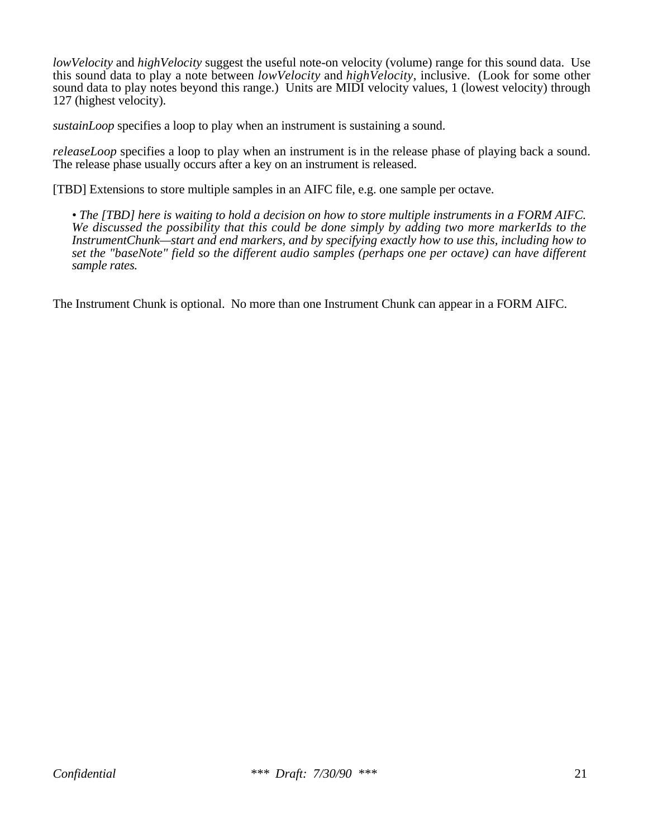*lowVelocity* and *highVelocity* suggest the useful note-on velocity (volume) range for this sound data. Use this sound data to play a note between *lowVelocity* and *highVelocity*, inclusive. (Look for some other sound data to play notes beyond this range.) Units are MIDI velocity values, 1 (lowest velocity) through 127 (highest velocity).

*sustainLoop* specifies a loop to play when an instrument is sustaining a sound.

*releaseLoop* specifies a loop to play when an instrument is in the release phase of playing back a sound. The release phase usually occurs after a key on an instrument is released.

[TBD] Extensions to store multiple samples in an AIFC file, e.g. one sample per octave.

*• The [TBD] here is waiting to hold a decision on how to store multiple instruments in a FORM AIFC. We discussed the possibility that this could be done simply by adding two more markerIds to the InstrumentChunk—start and end markers, and by specifying exactly how to use this, including how to set the "baseNote" field so the different audio samples (perhaps one per octave) can have different sample rates.*

The Instrument Chunk is optional. No more than one Instrument Chunk can appear in a FORM AIFC.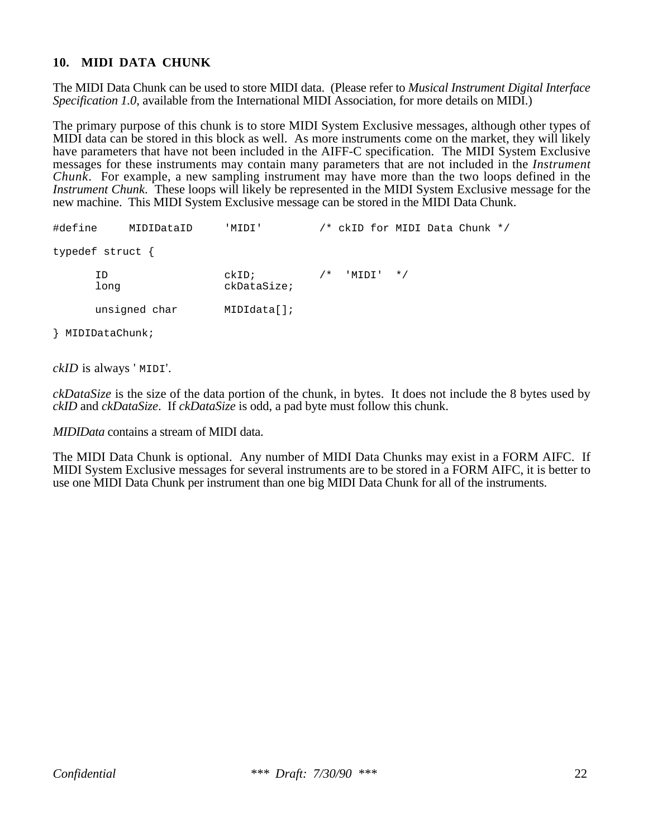## **10. MIDI DATA CHUNK**

The MIDI Data Chunk can be used to store MIDI data. (Please refer to *Musical Instrument Digital Interface Specification 1.0*, available from the International MIDI Association, for more details on MIDI.)

The primary purpose of this chunk is to store MIDI System Exclusive messages, although other types of MIDI data can be stored in this block as well. As more instruments come on the market, they will likely have parameters that have not been included in the AIFF-C specification. The MIDI System Exclusive messages for these instruments may contain many parameters that are not included in the *Instrument Chunk*. For example, a new sampling instrument may have more than the two loops defined in the *Instrument Chunk*. These loops will likely be represented in the MIDI System Exclusive message for the new machine. This MIDI System Exclusive message can be stored in the MIDI Data Chunk.

| #define          | MIDIDataID    | 'MIDI'               |       |           |  | $/*$ ckID for MIDI Data Chunk $*/$ |  |
|------------------|---------------|----------------------|-------|-----------|--|------------------------------------|--|
| typedef struct { |               |                      |       |           |  |                                    |  |
| ID<br>long       |               | ckID;<br>ckDataSize; | $/$ * | 'MIDI' */ |  |                                    |  |
|                  | unsigned char | MIDIdata[];          |       |           |  |                                    |  |

} MIDIDataChunk;

*ckID* is always ' MIDI'.

*ckDataSize* is the size of the data portion of the chunk, in bytes. It does not include the 8 bytes used by *ckID* and *ckDataSize*. If *ckDataSize* is odd, a pad byte must follow this chunk.

*MIDIData* contains a stream of MIDI data.

The MIDI Data Chunk is optional. Any number of MIDI Data Chunks may exist in a FORM AIFC. If MIDI System Exclusive messages for several instruments are to be stored in a FORM AIFC, it is better to use one MIDI Data Chunk per instrument than one big MIDI Data Chunk for all of the instruments.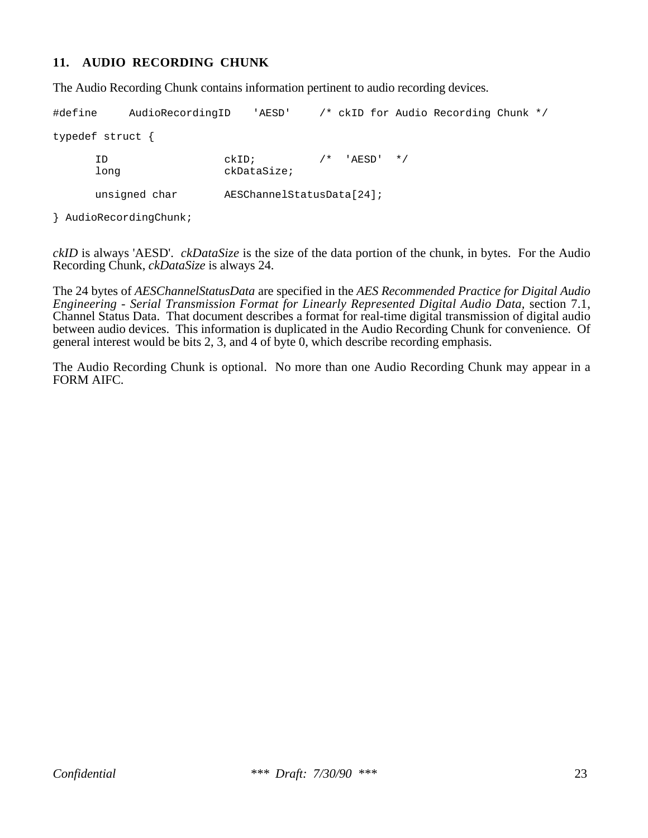#### **11. AUDIO RECORDING CHUNK**

The Audio Recording Chunk contains information pertinent to audio recording devices.

#define AudioRecordingID 'AESD' /\* ckID for Audio Recording Chunk \*/ typedef struct { ID ckID; /\* 'AESD' \*/ long ckDataSize; unsigned char AESChannelStatusData[24];

} AudioRecordingChunk;

*ckID* is always 'AESD'. *ckDataSize* is the size of the data portion of the chunk, in bytes. For the Audio Recording Chunk, *ckDataSize* is always 24.

The 24 bytes of *AESChannelStatusData* are specified in the *AES Recommended Practice for Digital Audio Engineering - Serial Transmission Format for Linearly Represented Digital Audio Data,* section 7.1, Channel Status Data. That document describes a format for real-time digital transmission of digital audio between audio devices. This information is duplicated in the Audio Recording Chunk for convenience. Of general interest would be bits 2, 3, and 4 of byte 0, which describe recording emphasis.

The Audio Recording Chunk is optional. No more than one Audio Recording Chunk may appear in a FORM AIFC.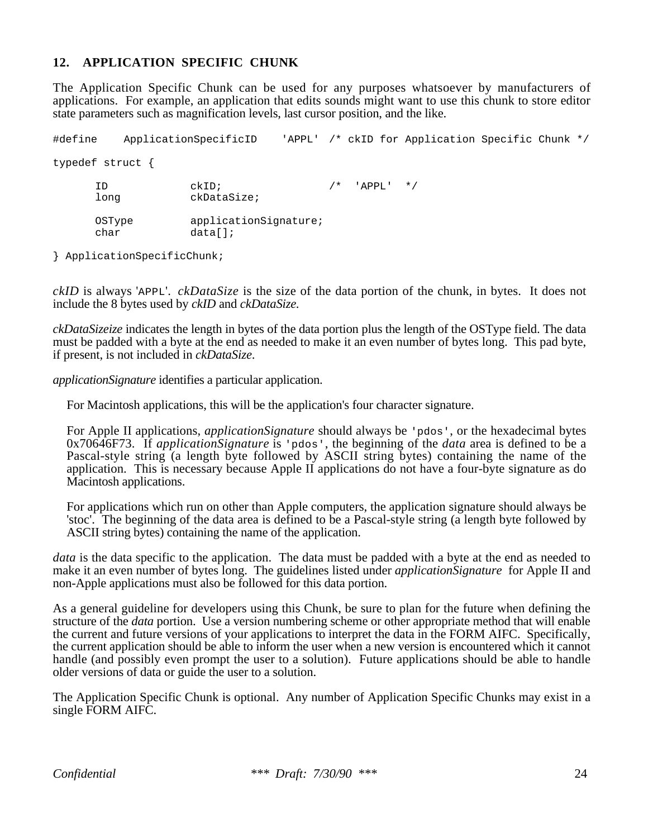#### **12. APPLICATION SPECIFIC CHUNK**

The Application Specific Chunk can be used for any purposes whatsoever by manufacturers of applications. For example, an application that edits sounds might want to use this chunk to store editor state parameters such as magnification levels, last cursor position, and the like.

#define ApplicationSpecificID 'APPL' /\* ckID for Application Specific Chunk \*/ typedef struct { ID  $ckID$ ;  $\qquad \qquad$ /\* 'APPL' \*/ long ckDataSize; OSType applicationSignature; char data[];

} ApplicationSpecificChunk;

*ckID* is always 'APPL'. *ckDataSize* is the size of the data portion of the chunk, in bytes. It does not include the 8 bytes used by *ckID* and *ckDataSize.*

*ckDataSizeize* indicates the length in bytes of the data portion plus the length of the OSType field. The data must be padded with a byte at the end as needed to make it an even number of bytes long. This pad byte, if present, is not included in *ckDataSize*.

*applicationSignature* identifies a particular application.

For Macintosh applications, this will be the application's four character signature.

For Apple II applications, *applicationSignature* should always be 'pdos', or the hexadecimal bytes 0x70646F73. If *applicationSignature* is 'pdos', the beginning of the *data* area is defined to be a Pascal-style string (a length byte followed by ASCII string bytes) containing the name of the application. This is necessary because Apple II applications do not have a four-byte signature as do Macintosh applications.

For applications which run on other than Apple computers, the application signature should always be 'stoc'. The beginning of the data area is defined to be a Pascal-style string (a length byte followed by ASCII string bytes) containing the name of the application.

*data* is the data specific to the application. The data must be padded with a byte at the end as needed to make it an even number of bytes long. The guidelines listed under *applicationSignature* for Apple II and non-Apple applications must also be followed for this data portion.

As a general guideline for developers using this Chunk, be sure to plan for the future when defining the structure of the *data* portion. Use a version numbering scheme or other appropriate method that will enable the current and future versions of your applications to interpret the data in the FORM AIFC. Specifically, the current application should be able to inform the user when a new version is encountered which it cannot handle (and possibly even prompt the user to a solution). Future applications should be able to handle older versions of data or guide the user to a solution.

The Application Specific Chunk is optional. Any number of Application Specific Chunks may exist in a single FORM AIFC.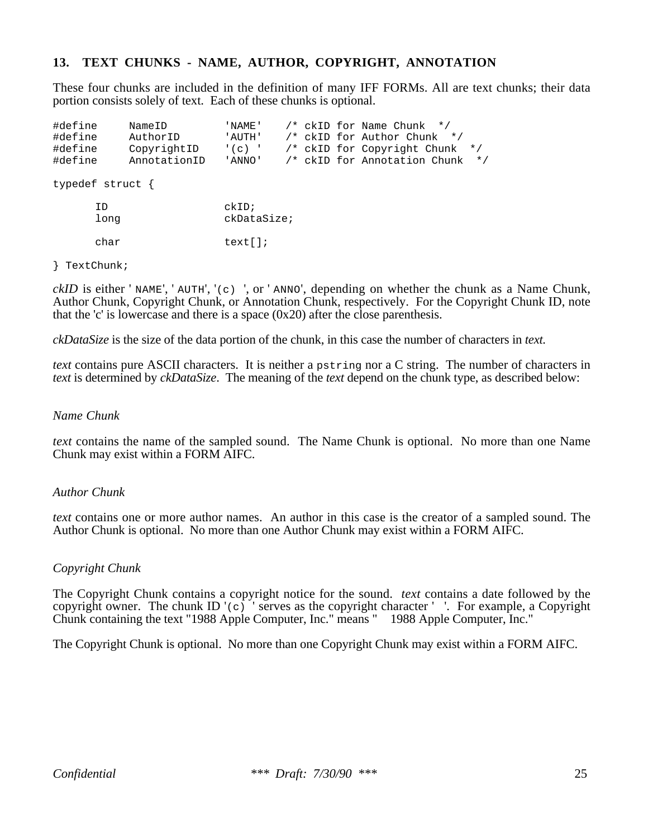#### **13. TEXT CHUNKS - NAME, AUTHOR, COPYRIGHT, ANNOTATION**

These four chunks are included in the definition of many IFF FORMs. All are text chunks; their data portion consists solely of text. Each of these chunks is optional.

| #define<br>#define<br>#define<br>#define |            | NameID<br>AuthorID<br>CopyrightID<br>AnnotationID | ' NAME '<br>' AUTH '<br>$\binom{1}{C}$<br>' ANNO ' |  |  | $/*$ ckID for Name Chunk $*/$<br>/* ckID for Author Chunk */<br>/* ckID for Copyright Chunk | /* ckID for Annotation Chunk | $\star$ /<br>$\star$ / |
|------------------------------------------|------------|---------------------------------------------------|----------------------------------------------------|--|--|---------------------------------------------------------------------------------------------|------------------------------|------------------------|
| typedef struct $\{$                      |            |                                                   |                                                    |  |  |                                                                                             |                              |                        |
|                                          | ID<br>long |                                                   | ckID<br>ckDataSize;                                |  |  |                                                                                             |                              |                        |
|                                          | char       |                                                   | text[]                                             |  |  |                                                                                             |                              |                        |

#### } TextChunk;

*ckID* is either 'NAME', 'AUTH', '(c) ', or 'ANNO', depending on whether the chunk as a Name Chunk, Author Chunk, Copyright Chunk, or Annotation Chunk, respectively. For the Copyright Chunk ID, note that the 'c' is lowercase and there is a space  $(0x20)$  after the close parenthesis.

*ckDataSize* is the size of the data portion of the chunk, in this case the number of characters in *text.*

*text* contains pure ASCII characters. It is neither a pstring nor a C string. The number of characters in *text* is determined by *ckDataSize*. The meaning of the *text* depend on the chunk type, as described below:

#### *Name Chunk*

*text* contains the name of the sampled sound. The Name Chunk is optional. No more than one Name Chunk may exist within a FORM AIFC.

#### *Author Chunk*

*text* contains one or more author names. An author in this case is the creator of a sampled sound. The Author Chunk is optional. No more than one Author Chunk may exist within a FORM AIFC.

#### *Copyright Chunk*

The Copyright Chunk contains a copyright notice for the sound. *text* contains a date followed by the copyright owner. The chunk ID  $(c)$  ' serves as the copyright character  $\mathbb{C}$ . For example, a Copyright Chunk containing the text "1988 Apple Computer, Inc." means " 1988 Apple Computer, Inc."

The Copyright Chunk is optional. No more than one Copyright Chunk may exist within a FORM AIFC.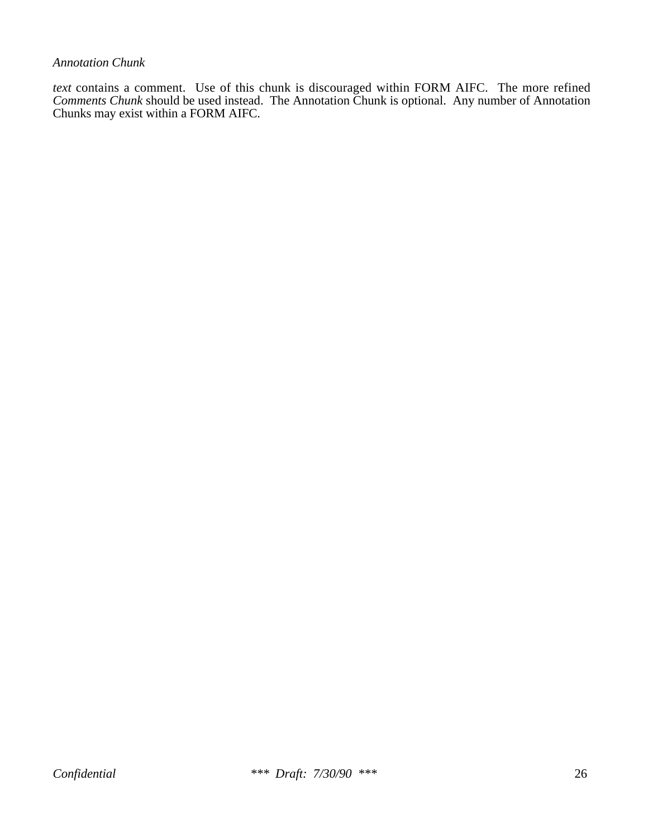#### *Annotation Chunk*

*text* contains a comment. Use of this chunk is discouraged within FORM AIFC. The more refined *Comments Chunk* should be used instead. The Annotation Chunk is optional. Any number of Annotation Chunks may exist within a FORM AIFC.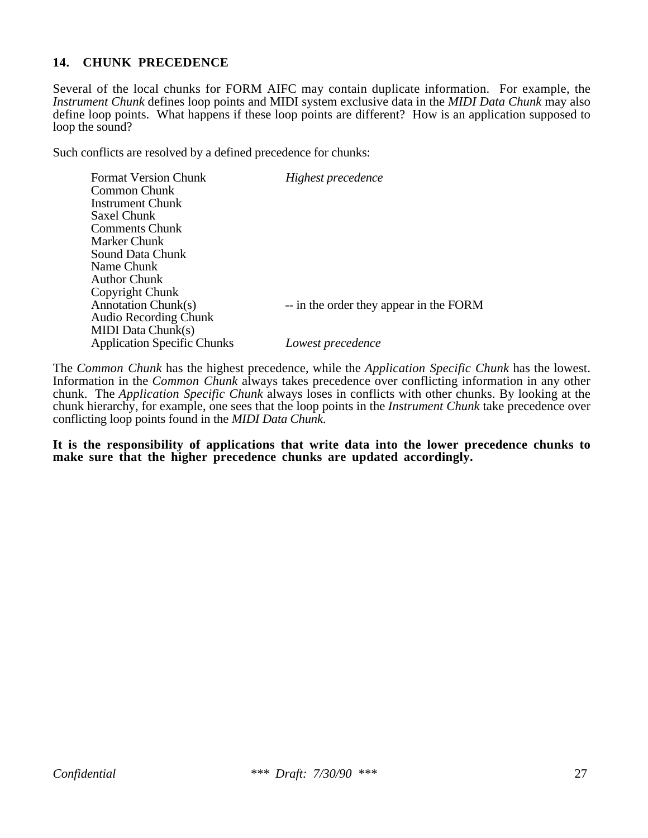### **14. CHUNK PRECEDENCE**

Several of the local chunks for FORM AIFC may contain duplicate information. For example, the *Instrument Chunk* defines loop points and MIDI system exclusive data in the *MIDI Data Chunk* may also define loop points. What happens if these loop points are different? How is an application supposed to loop the sound?

Such conflicts are resolved by a defined precedence for chunks:

| Highest precedence                      |
|-----------------------------------------|
|                                         |
|                                         |
|                                         |
|                                         |
|                                         |
|                                         |
|                                         |
|                                         |
| -- in the order they appear in the FORM |
|                                         |
|                                         |
| Lowest precedence                       |
|                                         |

The *Common Chunk* has the highest precedence, while the *Application Specific Chunk* has the lowest. Information in the *Common Chunk* always takes precedence over conflicting information in any other chunk. The *Application Specific Chunk* always loses in conflicts with other chunks. By looking at the chunk hierarchy, for example, one sees that the loop points in the *Instrument Chunk* take precedence over conflicting loop points found in the *MIDI Data Chunk*.

**It is the responsibility of applications that write data into the lower precedence chunks to make sure that the higher precedence chunks are updated accordingly.**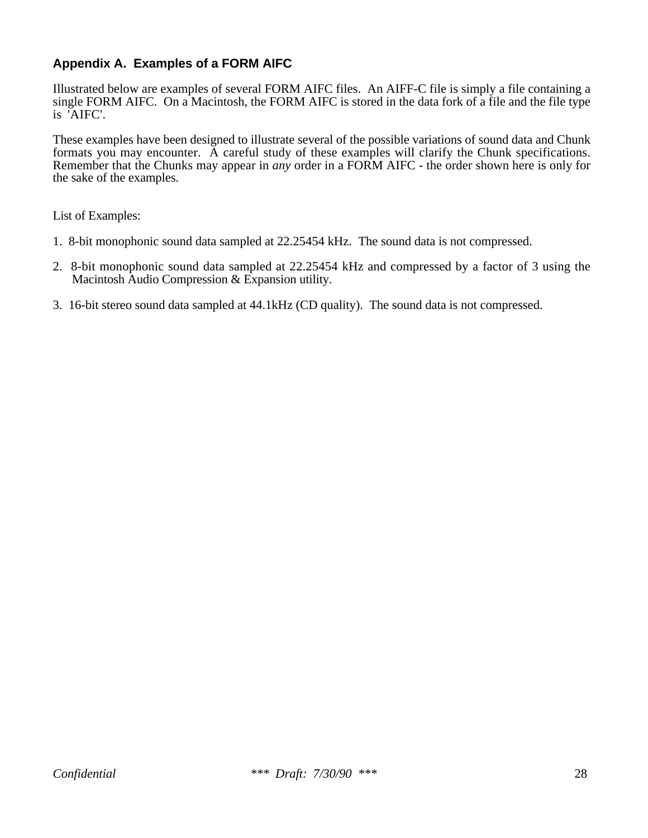# **Appendix A. Examples of a FORM AIFC**

Illustrated below are examples of several FORM AIFC files. An AIFF-C file is simply a file containing a single FORM AIFC. On a Macintosh, the FORM AIFC is stored in the data fork of a file and the file type is 'AIFC'.

These examples have been designed to illustrate several of the possible variations of sound data and Chunk formats you may encounter. A careful study of these examples will clarify the Chunk specifications. Remember that the Chunks may appear in *any* order in a FORM AIFC - the order shown here is only for the sake of the examples.

List of Examples:

- 1. 8-bit monophonic sound data sampled at 22.25454 kHz. The sound data is not compressed.
- 2. 8-bit monophonic sound data sampled at 22.25454 kHz and compressed by a factor of 3 using the Macintosh Audio Compression & Expansion utility.
- 3. 16-bit stereo sound data sampled at 44.1kHz (CD quality). The sound data is not compressed.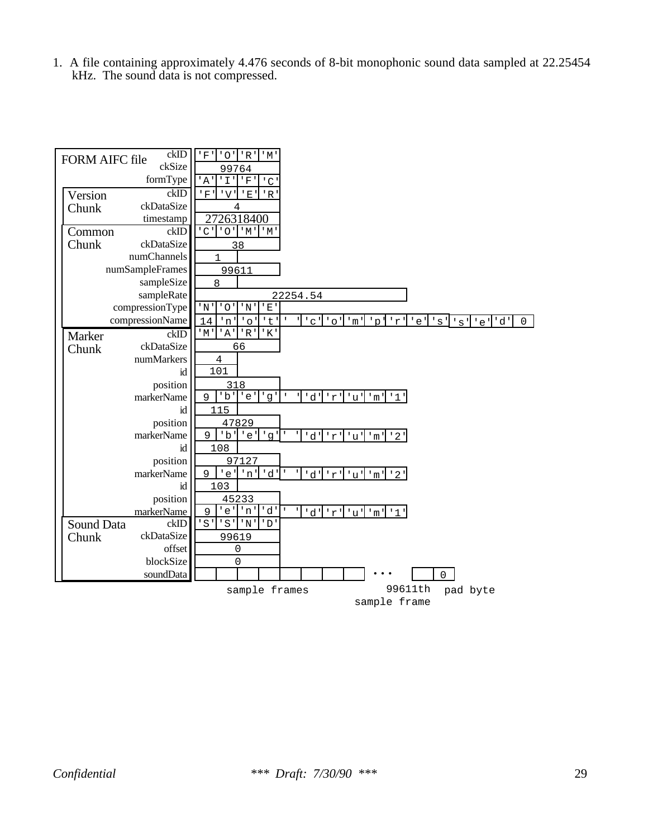1. A file containing approximately 4.476 seconds of 8-bit monophonic sound data sampled at 22.25454 kHz. The sound data is not compressed.

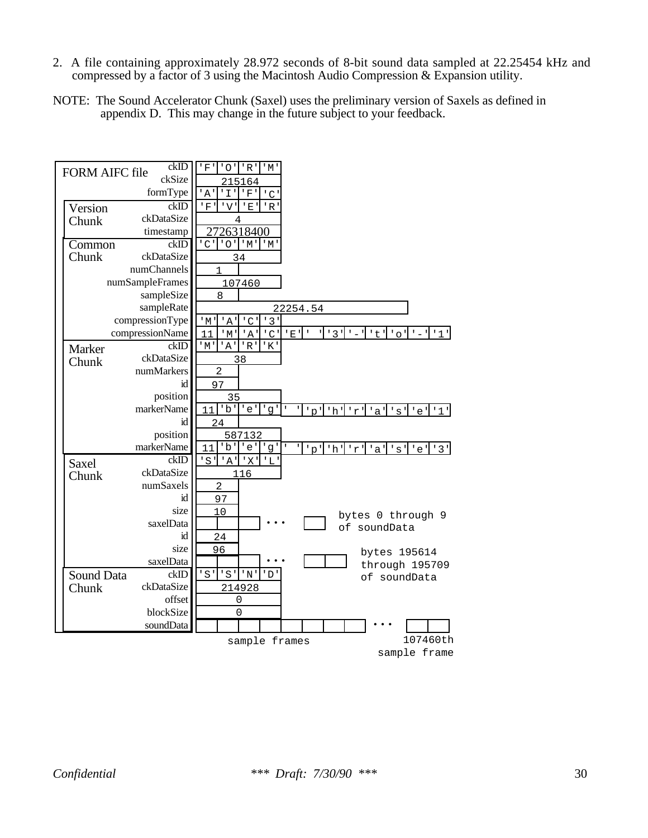- 2. A file containing approximately 28.972 seconds of 8-bit sound data sampled at 22.25454 kHz and compressed by a factor of 3 using the Macintosh Audio Compression & Expansion utility.
- NOTE: The Sound Accelerator Chunk (Saxel) uses the preliminary version of Saxels as defined in appendix D. This may change in the future subject to your feedback.

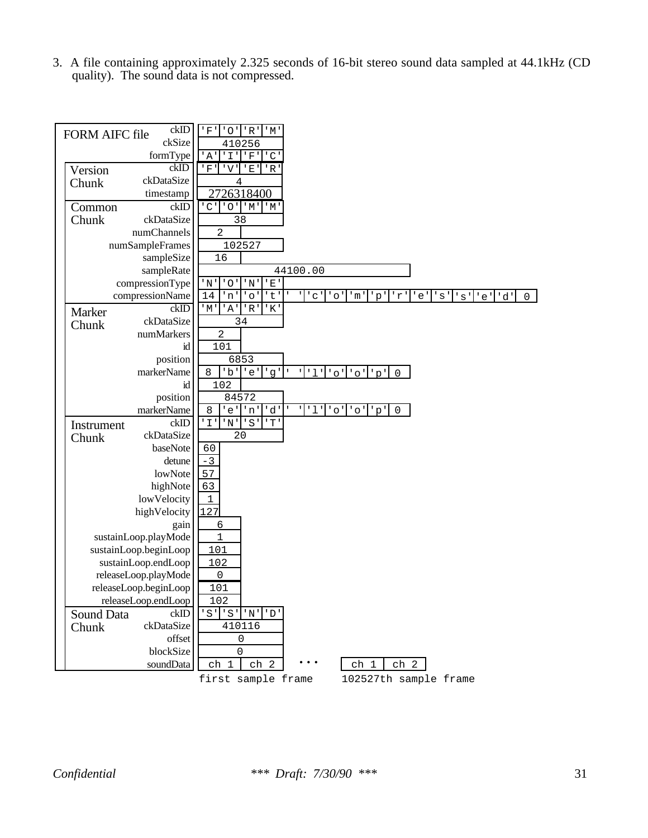3. A file containing approximately 2.325 seconds of 16-bit stereo sound data sampled at 44.1kHz (CD quality). The sound data is not compressed.

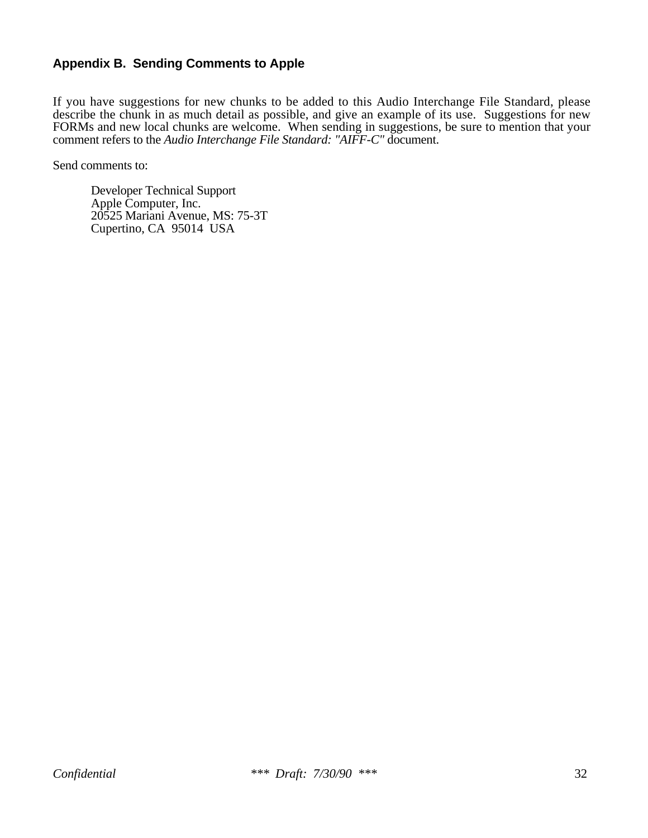## **Appendix B. Sending Comments to Apple**

If you have suggestions for new chunks to be added to this Audio Interchange File Standard, please describe the chunk in as much detail as possible, and give an example of its use. Suggestions for new FORMs and new local chunks are welcome. When sending in suggestions, be sure to mention that your comment refers to the *Audio Interchange File Standard: "AIFF-C"* document.

Send comments to:

Developer Technical Support Apple Computer, Inc. 20525 Mariani Avenue, MS: 75-3T Cupertino, CA 95014 USA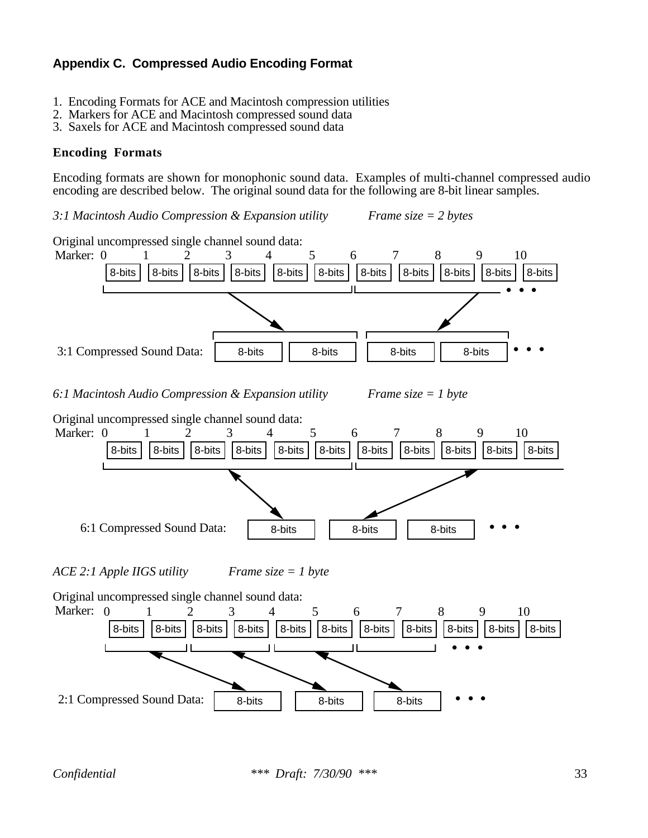# **Appendix C. Compressed Audio Encoding Format**

- 1. Encoding Formats for ACE and Macintosh compression utilities
- 2. Markers for ACE and Macintosh compressed sound data
- 3. Saxels for ACE and Macintosh compressed sound data

### **Encoding Formats**

Encoding formats are shown for monophonic sound data. Examples of multi-channel compressed audio encoding are described below. The original sound data for the following are 8-bit linear samples.

*3:1 Macintosh Audio Compression & Expansion utility Frame size = 2 bytes*

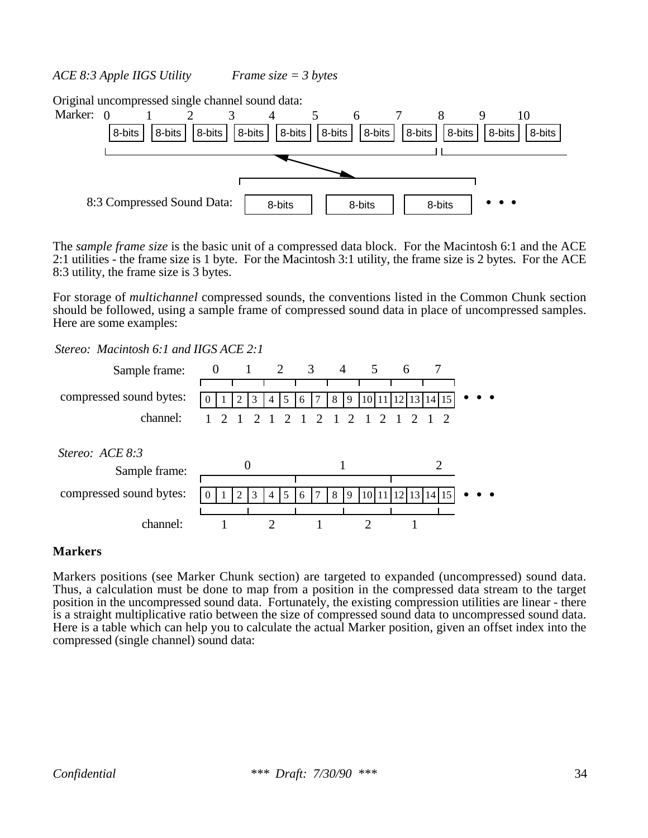*ACE 8:3 Apple IIGS Utility Frame size = 3 bytes*

Original uncompressed single channel sound data:



The *sample frame size* is the basic unit of a compressed data block. For the Macintosh 6:1 and the ACE 2:1 utilities - the frame size is 1 byte. For the Macintosh 3:1 utility, the frame size is 2 bytes. For the ACE 8:3 utility, the frame size is 3 bytes.

For storage of *multichannel* compressed sounds, the conventions listed in the Common Chunk section should be followed, using a sample frame of compressed sound data in place of uncompressed samples. Here are some examples:

*Stereo: Macintosh 6:1 and IIGS ACE 2:1*



#### **Markers**

Markers positions (see Marker Chunk section) are targeted to expanded (uncompressed) sound data. Thus, a calculation must be done to map from a position in the compressed data stream to the target position in the uncompressed sound data. Fortunately, the existing compression utilities are linear - there is a straight multiplicative ratio between the size of compressed sound data to uncompressed sound data. Here is a table which can help you to calculate the actual Marker position, given an offset index into the compressed (single channel) sound data: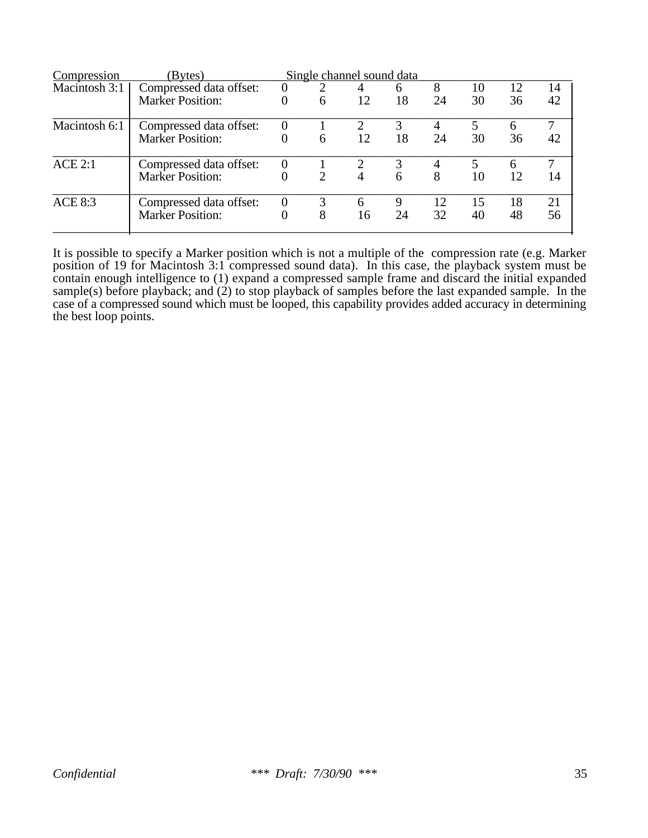| Compression    | (Bytes)                 |                |               | Single channel sound data |    |    |    |    |    |
|----------------|-------------------------|----------------|---------------|---------------------------|----|----|----|----|----|
| Macintosh 3:1  | Compressed data offset: | $\Omega$       | 2             | 4                         | 6  | 8  | 10 | 12 | 14 |
|                | <b>Marker Position:</b> |                | 6             | 12                        | 18 | 24 | 30 | 36 | 42 |
| Macintosh 6:1  | Compressed data offset: | $\Omega$       |               | 2                         |    |    |    | 6  | 7  |
|                | <b>Marker Position:</b> |                | 6             | 12                        | 18 | 24 | 30 | 36 | 42 |
| ACE 2:1        | Compressed data offset: | $\Omega$       |               |                           |    |    | 5  | 6  |    |
|                | <b>Marker Position:</b> |                | $\mathcal{D}$ | 4                         | 6  | 8  | 10 | 12 | 14 |
| <b>ACE 8:3</b> | Compressed data offset: | $\overline{0}$ |               | 6                         | 9  | 12 | 15 | 18 | 21 |
|                | <b>Marker Position:</b> |                | 8             | 16                        | 24 | 32 | 40 | 48 | 56 |

It is possible to specify a Marker position which is not a multiple of the compression rate (e.g. Marker position of 19 for Macintosh 3:1 compressed sound data). In this case, the playback system must be contain enough intelligence to (1) expand a compressed sample frame and discard the initial expanded sample(s) before playback; and (2) to stop playback of samples before the last expanded sample. In the case of a compressed sound which must be looped, this capability provides added accuracy in determining the best loop points.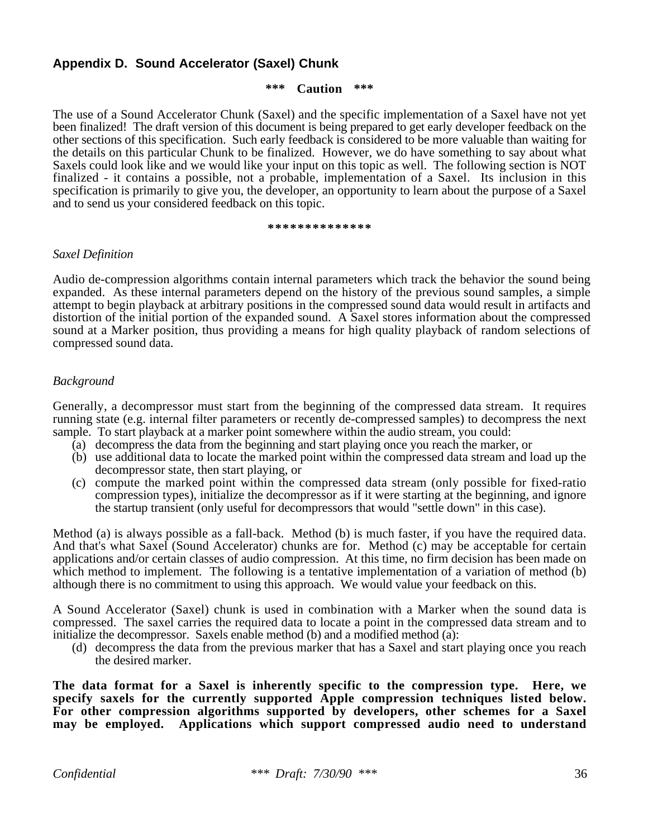## **Appendix D. Sound Accelerator (Saxel) Chunk**

#### **\*\*\* Caution \*\*\***

The use of a Sound Accelerator Chunk (Saxel) and the specific implementation of a Saxel have not yet been finalized! The draft version of this document is being prepared to get early developer feedback on the other sections of this specification. Such early feedback is considered to be more valuable than waiting for the details on this particular Chunk to be finalized. However, we do have something to say about what Saxels could look like and we would like your input on this topic as well. The following section is NOT finalized - it contains a possible, not a probable, implementation of a Saxel. Its inclusion in this specification is primarily to give you, the developer, an opportunity to learn about the purpose of a Saxel and to send us your considered feedback on this topic.

#### **\*\*\*\*\*\*\*\*\*\*\*\*\*\***

#### *Saxel Definition*

Audio de-compression algorithms contain internal parameters which track the behavior the sound being expanded. As these internal parameters depend on the history of the previous sound samples, a simple attempt to begin playback at arbitrary positions in the compressed sound data would result in artifacts and distortion of the initial portion of the expanded sound. A Saxel stores information about the compressed sound at a Marker position, thus providing a means for high quality playback of random selections of compressed sound data.

#### *Background*

Generally, a decompressor must start from the beginning of the compressed data stream. It requires running state (e.g. internal filter parameters or recently de-compressed samples) to decompress the next sample. To start playback at a marker point somewhere within the audio stream, you could:

- (a) decompress the data from the beginning and start playing once you reach the marker, or
- (b) use additional data to locate the marked point within the compressed data stream and load up the decompressor state, then start playing, or
- (c) compute the marked point within the compressed data stream (only possible for fixed-ratio compression types), initialize the decompressor as if it were starting at the beginning, and ignore the startup transient (only useful for decompressors that would "settle down" in this case).

Method (a) is always possible as a fall-back. Method (b) is much faster, if you have the required data. And that's what Saxel (Sound Accelerator) chunks are for. Method (c) may be acceptable for certain applications and/or certain classes of audio compression. At this time, no firm decision has been made on which method to implement. The following is a tentative implementation of a variation of method (b) although there is no commitment to using this approach. We would value your feedback on this.

A Sound Accelerator (Saxel) chunk is used in combination with a Marker when the sound data is compressed. The saxel carries the required data to locate a point in the compressed data stream and to initialize the decompressor. Saxels enable method  $(b)$  and a modified method  $(a)$ :

(d) decompress the data from the previous marker that has a Saxel and start playing once you reach the desired marker.

**The data format for a Saxel is inherently specific to the compression type. Here, we** specify saxels for the currently supported Apple compression techniques listed below. **For other compression algorithms supported by developers, other schemes for a Saxel may be employed. Applications which support compressed audio need to understand**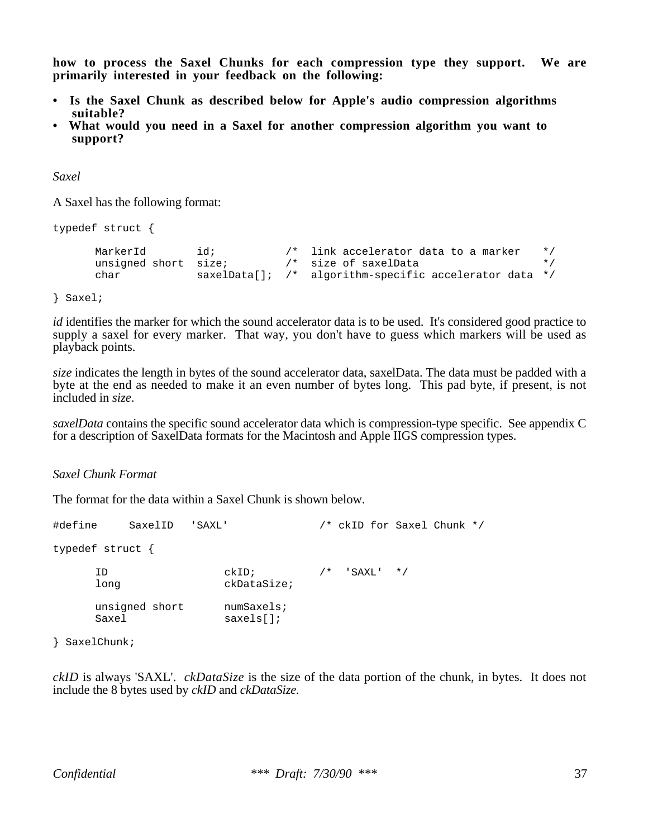**how to process the Saxel Chunks for each compression type they support. We are primarily interested in your feedback on the following:**

- **Is the Saxel Chunk as described below for Apple's audio compression algorithms suitable?**
- **What would you need in a Saxel for another compression algorithm you want to support?**

*Saxel*

A Saxel has the following format:

```
typedef struct {
     MarkerId id; /* link accelerator data to a marker */
     unsigned short size; /* size of saxelData */
    char saxelData[]; /* algorithm-specific accelerator data */
```
} Saxel;

*id* identifies the marker for which the sound accelerator data is to be used. It's considered good practice to supply a saxel for every marker. That way, you don't have to guess which markers will be used as playback points.

*size* indicates the length in bytes of the sound accelerator data, saxelData. The data must be padded with a byte at the end as needed to make it an even number of bytes long. This pad byte, if present, is not included in *size*.

*saxelData* contains the specific sound accelerator data which is compression-type specific. See appendix C for a description of SaxelData formats for the Macintosh and Apple IIGS compression types.

*Saxel Chunk Format*

The format for the data within a Saxel Chunk is shown below.

| #define | SaxelID                 | ' SAXL '                | /* ckID for Saxel Chunk */ |  |  |
|---------|-------------------------|-------------------------|----------------------------|--|--|
|         | typedef struct {        |                         |                            |  |  |
|         | TD<br>long              | $ckID$ ;<br>ckDataSize; | $/*$ 'SAXL' */             |  |  |
|         | unsigned short<br>Saxel | numSaxels:<br>saxels[]  |                            |  |  |

} SaxelChunk;

*ckID* is always 'SAXL'. *ckDataSize* is the size of the data portion of the chunk, in bytes. It does not include the 8 bytes used by *ckID* and *ckDataSize.*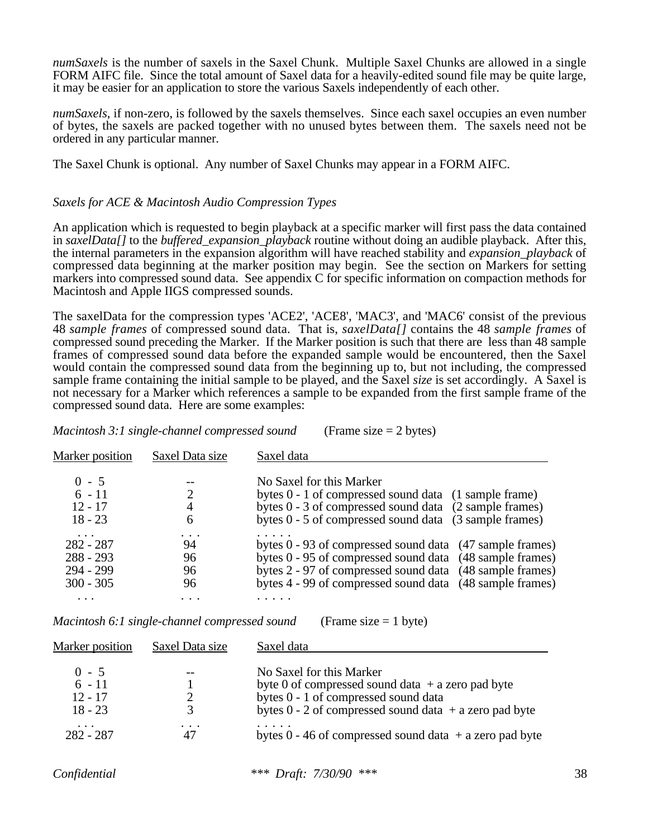*numSaxels* is the number of saxels in the Saxel Chunk. Multiple Saxel Chunks are allowed in a single FORM AIFC file. Since the total amount of Saxel data for a heavily-edited sound file may be quite large, it may be easier for an application to store the various Saxels independently of each other.

*numSaxels*, if non-zero, is followed by the saxels themselves. Since each saxel occupies an even number of bytes, the saxels are packed together with no unused bytes between them. The saxels need not be ordered in any particular manner.

The Saxel Chunk is optional. Any number of Saxel Chunks may appear in a FORM AIFC.

#### *Saxels for ACE & Macintosh Audio Compression Types*

An application which is requested to begin playback at a specific marker will first pass the data contained in *saxelData[]* to the *buffered\_expansion\_playback* routine without doing an audible playback. After this, the internal parameters in the expansion algorithm will have reached stability and *expansion\_playback* of compressed data beginning at the marker position may begin. See the section on Markers for setting markers into compressed sound data. See appendix C for specific information on compaction methods for Macintosh and Apple IIGS compressed sounds.

The saxelData for the compression types 'ACE2', 'ACE8', 'MAC3', and 'MAC6' consist of the previous 48 *sample frames* of compressed sound data. That is, *saxelData[]* contains the 48 *sample frames* of compressed sound preceding the Marker. If the Marker position is such that there are less than 48 sample frames of compressed sound data before the expanded sample would be encountered, then the Saxel would contain the compressed sound data from the beginning up to, but not including, the compressed sample frame containing the initial sample to be played, and the Saxel *size* is set accordingly. A Saxel is not necessary for a Marker which references a sample to be expanded from the first sample frame of the compressed sound data. Here are some examples:

*Macintosh 3:1 single-channel compressed sound* (Frame size = 2 bytes)

| <b>Marker position</b>                 | Saxel Data size | Saxel data                                                                                                                   |
|----------------------------------------|-----------------|------------------------------------------------------------------------------------------------------------------------------|
| $0 - 5$<br>$6 - 11$                    | 2               | No Saxel for this Marker<br>bytes 0 - 1 of compressed sound data (1 sample frame)                                            |
| $12 - 17$<br>$18 - 23$                 | 4<br>6          | bytes 0 - 3 of compressed sound data (2 sample frames)<br>bytes $0 - 5$ of compressed sound data $(3 \text{ sample frames})$ |
| $\cdots$<br>$282 - 287$<br>$288 - 293$ | 94<br>96        | bytes 0 - 93 of compressed sound data (47 sample frames)<br>bytes 0 - 95 of compressed sound data (48 sample frames)         |
| 294 - 299<br>$300 - 305$               | 96<br>96        | bytes 2 - 97 of compressed sound data (48 sample frames)<br>bytes 4 - 99 of compressed sound data (48 sample frames)         |
|                                        |                 |                                                                                                                              |

*Macintosh 6:1 single-channel compressed sound* (Frame size = 1 byte)

| <b>Marker position</b>                        | Saxel Data size | Saxel data                                                                                                                                                                            |
|-----------------------------------------------|-----------------|---------------------------------------------------------------------------------------------------------------------------------------------------------------------------------------|
| $0 - 5$<br>$6 - 11$<br>$12 - 17$<br>$18 - 23$ | 3               | No Saxel for this Marker<br>byte 0 of compressed sound data $+$ a zero pad byte<br>bytes 0 - 1 of compressed sound data<br>bytes $0 - 2$ of compressed sound data $+ a$ zero pad byte |
| $\cdots$<br>$282 - 287$                       | .<br>47         | bytes $0 - 46$ of compressed sound data $+ a$ zero pad byte                                                                                                                           |

*Confidential \*\*\* Draft: 7/30/90 \*\*\** 38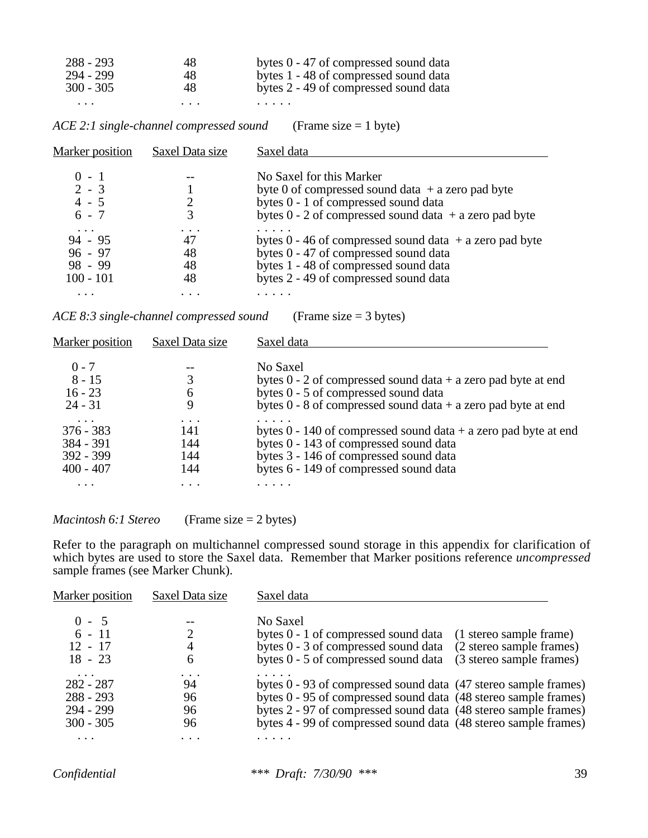| 288 - 293   | 48       | bytes 0 - 47 of compressed sound data |
|-------------|----------|---------------------------------------|
| 294 - 299   | 48       | bytes 1 - 48 of compressed sound data |
| $300 - 305$ | 48       | bytes 2 - 49 of compressed sound data |
| $\cdots$    | $\cdots$ | .                                     |

| ACE 2:1 single-channel compressed sound | (Frame size $= 1$ byte) |
|-----------------------------------------|-------------------------|
|-----------------------------------------|-------------------------|

| Marker position                                                | Saxel Data size      | Saxel data                                                                                                                                                                             |
|----------------------------------------------------------------|----------------------|----------------------------------------------------------------------------------------------------------------------------------------------------------------------------------------|
| $0 - 1$<br>$2 - 3$<br>$4 - 5$<br>$6 - 7$                       | 2<br>3               | No Saxel for this Marker<br>byte 0 of compressed sound data $+$ a zero pad byte<br>bytes 0 - 1 of compressed sound data<br>bytes $0 - 2$ of compressed sound data $+ a$ zero pad byte  |
| $\cdots$<br>$94 - 95$<br>$96 - 97$<br>$98 - 99$<br>$100 - 101$ | 47<br>48<br>48<br>48 | bytes $0 - 46$ of compressed sound data $+ a$ zero pad byte<br>bytes 0 - 47 of compressed sound data<br>bytes 1 - 48 of compressed sound data<br>bytes 2 - 49 of compressed sound data |
| $\cdots$                                                       |                      |                                                                                                                                                                                        |

*ACE 8:3 single-channel compressed sound* (Frame size = 3 bytes)

| Saxel Data size | Saxel data                                                          |
|-----------------|---------------------------------------------------------------------|
|                 | No Saxel                                                            |
|                 | bytes $0 - 2$ of compressed sound data + a zero pad byte at end     |
| 6               | bytes 0 - 5 of compressed sound data                                |
|                 | bytes $0 - 8$ of compressed sound data + a zero pad byte at end     |
|                 |                                                                     |
|                 | bytes $0 - 140$ of compressed sound data $+ a$ zero pad byte at end |
| 144             | bytes 0 - 143 of compressed sound data                              |
| 144             | bytes 3 - 146 of compressed sound data                              |
| 144             | bytes 6 - 149 of compressed sound data                              |
|                 |                                                                     |
|                 | 141                                                                 |

| Macintosh 6:1 Stereo | (Frame size $= 2$ bytes) |
|----------------------|--------------------------|
|----------------------|--------------------------|

Refer to the paragraph on multichannel compressed sound storage in this appendix for clarification of which bytes are used to store the Saxel data. Remember that Marker positions reference *uncompressed* sample frames (see Marker Chunk).

| <b>Marker position</b> | Saxel Data size | Saxel data                                                       |
|------------------------|-----------------|------------------------------------------------------------------|
| $0 - 5$                |                 | No Saxel                                                         |
| $6 - 11$               |                 | bytes 0 - 1 of compressed sound data<br>(1 stereo sample frame)  |
| $12 - 17$              |                 | bytes 0 - 3 of compressed sound data<br>(2 stereo sample frames) |
| $18 - 23$              | h               | bytes 0 - 5 of compressed sound data<br>(3 stereo sample frames) |
| $\cdots$<br>282 - 287  | 94              | bytes 0 - 93 of compressed sound data (47 stereo sample frames)  |
| $288 - 293$            | 96              | bytes 0 - 95 of compressed sound data (48 stereo sample frames)  |
| 294 - 299              | 96              | bytes 2 - 97 of compressed sound data (48 stereo sample frames)  |
| $300 - 305$            | 96              | bytes 4 - 99 of compressed sound data (48 stereo sample frames)  |
| $\cdots$               |                 |                                                                  |
|                        |                 |                                                                  |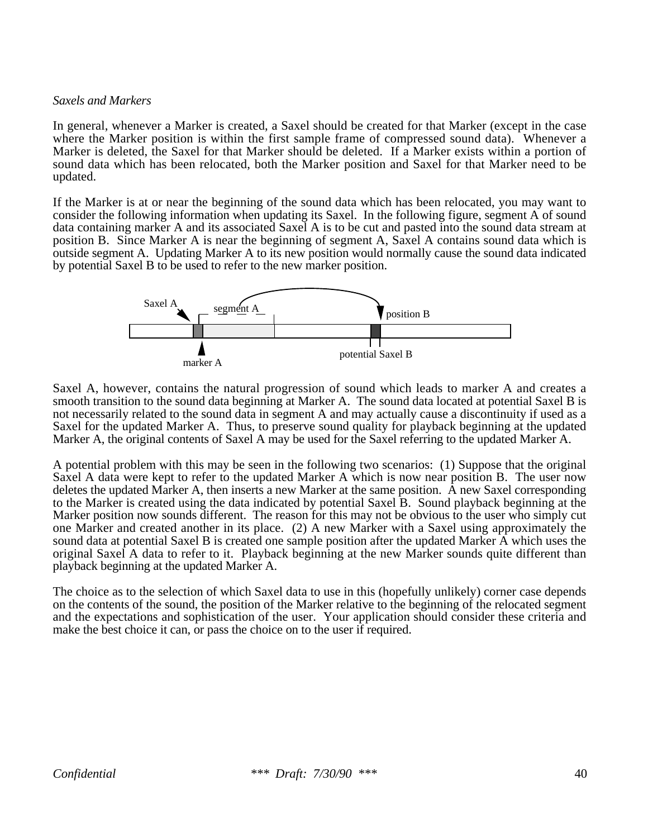#### *Saxels and Markers*

In general, whenever a Marker is created, a Saxel should be created for that Marker (except in the case where the Marker position is within the first sample frame of compressed sound data). Whenever a Marker is deleted, the Saxel for that Marker should be deleted. If a Marker exists within a portion of sound data which has been relocated, both the Marker position and Saxel for that Marker need to be updated.

If the Marker is at or near the beginning of the sound data which has been relocated, you may want to consider the following information when updating its Saxel. In the following figure, segment A of sound data containing marker A and its associated Saxel A is to be cut and pasted into the sound data stream at position B. Since Marker A is near the beginning of segment A, Saxel A contains sound data which is outside segment A. Updating Marker A to its new position would normally cause the sound data indicated by potential Saxel B to be used to refer to the new marker position.



Saxel A, however, contains the natural progression of sound which leads to marker A and creates a smooth transition to the sound data beginning at Marker A. The sound data located at potential Saxel B is not necessarily related to the sound data in segment A and may actually cause a discontinuity if used as a Saxel for the updated Marker A. Thus, to preserve sound quality for playback beginning at the updated Marker A, the original contents of Saxel A may be used for the Saxel referring to the updated Marker A.

A potential problem with this may be seen in the following two scenarios: (1) Suppose that the original Saxel A data were kept to refer to the updated Marker A which is now near position B. The user now deletes the updated Marker A, then inserts a new Marker at the same position. A new Saxel corresponding to the Marker is created using the data indicated by potential Saxel B. Sound playback beginning at the Marker position now sounds different. The reason for this may not be obvious to the user who simply cut one Marker and created another in its place. (2) A new Marker with a Saxel using approximately the sound data at potential Saxel B is created one sample position after the updated Marker A which uses the original Saxel A data to refer to it. Playback beginning at the new Marker sounds quite different than playback beginning at the updated Marker A.

The choice as to the selection of which Saxel data to use in this (hopefully unlikely) corner case depends on the contents of the sound, the position of the Marker relative to the beginning of the relocated segment and the expectations and sophistication of the user. Your application should consider these criteria and make the best choice it can, or pass the choice on to the user if required.